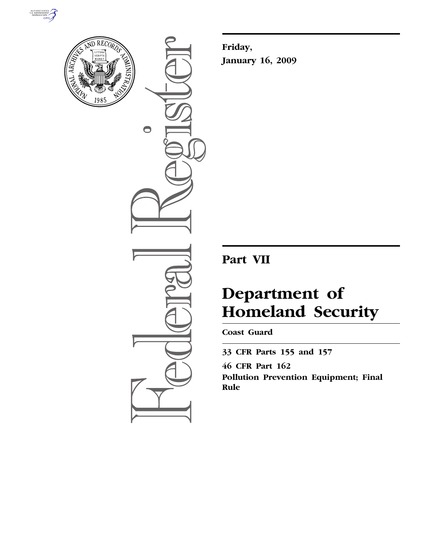



 $\bigcirc$ 

**Friday, January 16, 2009** 

# **Part VII**

# **Department of Homeland Security**

**Coast Guard** 

**33 CFR Parts 155 and 157 46 CFR Part 162** 

**Pollution Prevention Equipment; Final Rule**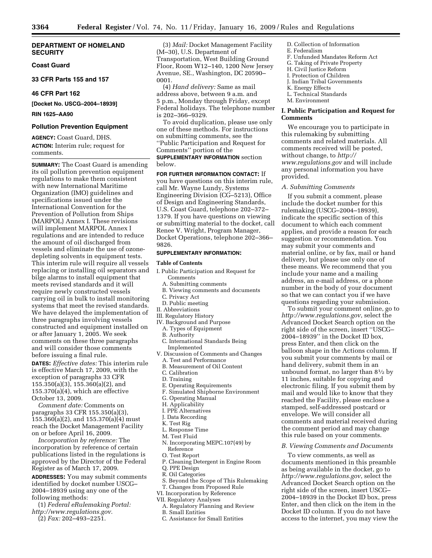#### **DEPARTMENT OF HOMELAND SECURITY**

## **Coast Guard**

## **33 CFR Parts 155 and 157**

## **46 CFR Part 162**

**[Docket No. USCG–2004–18939]** 

## **RIN 1625–AA90**

## **Pollution Prevention Equipment**

**AGENCY:** Coast Guard, DHS. **ACTION:** Interim rule; request for comments.

**SUMMARY:** The Coast Guard is amending its oil pollution prevention equipment regulations to make them consistent with new International Maritime Organization (IMO) guidelines and specifications issued under the International Convention for the Prevention of Pollution from Ships (MARPOL) Annex I. These revisions will implement MARPOL Annex I regulations and are intended to reduce the amount of oil discharged from vessels and eliminate the use of ozonedepleting solvents in equipment tests. This interim rule will require all vessels replacing or installing oil separators and bilge alarms to install equipment that meets revised standards and it will require newly constructed vessels carrying oil in bulk to install monitoring systems that meet the revised standards. We have delayed the implementation of three paragraphs involving vessels constructed and equipment installed on or after January 1, 2005. We seek comments on these three paragraphs and will consider those comments before issuing a final rule.

**DATES:** *Effective dates:* This interim rule is effective March 17, 2009, with the exception of paragraphs 33 CFR 155.350(a)(3), 155.360(a)(2), and 155.370(a)(4), which are effective October 13, 2009.

*Comment date:* Comments on paragraphs 33 CFR 155.350(a)(3), 155.360(a)(2), and 155.370(a)(4) must reach the Docket Management Facility on or before April 16, 2009.

*Incorporation by reference:* The incorporation by reference of certain publications listed in the regulations is approved by the Director of the Federal Register as of March 17, 2009.

**ADDRESSES:** You may submit comments identified by docket number USCG– 2004–18939 using any one of the following methods:

- (1) *Federal eRulemaking Portal: http://www.regulations.gov.*
- (2) *Fax:* 202–493–2251.

(3) *Mail:* Docket Management Facility (M–30), U.S. Department of Transportation, West Building Ground Floor, Room W12–140, 1200 New Jersey Avenue, SE., Washington, DC 20590– 0001.

(4) *Hand delivery:* Same as mail address above, between 9 a.m. and 5 p.m., Monday through Friday, except Federal holidays. The telephone number is 202–366–9329.

To avoid duplication, please use only one of these methods. For instructions on submitting comments, see the ''Public Participation and Request for Comments'' portion of the **SUPPLEMENTARY INFORMATION** section

below.

**FOR FURTHER INFORMATION CONTACT:** If you have questions on this interim rule, call Mr. Wayne Lundy, Systems Engineering Division (CG–5213), Office of Design and Engineering Standards, U.S. Coast Guard, telephone 202–372– 1379. If you have questions on viewing or submitting material to the docket, call Renee V. Wright, Program Manager, Docket Operations, telephone 202–366– 9826.

#### **SUPPLEMENTARY INFORMATION:**

#### **Table of Contents**

- I. Public Participation and Request for Comments
	- A. Submitting comments
	- B. Viewing comments and documents
	- C. Privacy Act
- D. Public meeting
- II. Abbreviations
- III. Regulatory History
- IV. Background and Purpose
	- A. Types of Equipment
	- B. Authority
	- C. International Standards Being Implemented
- V. Discussion of Comments and Changes A. Test and Performance
	- B. Measurement of Oil Content
	- C. Calibration
	- D. Training
	- E. Operating Requirements
	- F. Simulated Shipborne Environment
	- G. Operating Manual
- H. Applicability
- I. PPE Alternatives
- J. Data Recording
- K. Test Rig
- L. Response Time
- M. Test Fluid
- N. Incorporating MEPC.107(49) by Reference
- O. Test Report
- 
- P. Cleaning Detergent in Engine Room
- Q. PPE Design R. Oil Categories
- S. Beyond the Scope of This Rulemaking
- T. Changes from Proposed Rule
- VI. Incorporation by Reference
- VII. Regulatory Analyses
- A. Regulatory Planning and Review B. Small Entities
- C. Assistance for Small Entities
- D. Collection of Information
- E. Federalism
- F. Unfunded Mandates Reform Act G. Taking of Private Property
- H. Civil Justice Reform
- I. Protection of Children
- J. Indian Tribal Governments
- K. Energy Effects
- L. Technical Standards
- M. Environment

## **I. Public Participation and Request for Comments**

We encourage you to participate in this rulemaking by submitting comments and related materials. All comments received will be posted, without change, to *http:// www.regulations.gov* and will include any personal information you have provided.

#### *A. Submitting Comments*

If you submit a comment, please include the docket number for this rulemaking (USCG–2004–18939), indicate the specific section of this document to which each comment applies, and provide a reason for each suggestion or recommendation. You may submit your comments and material online, or by fax, mail or hand delivery, but please use only one of these means. We recommend that you include your name and a mailing address, an e-mail address, or a phone number in the body of your document so that we can contact you if we have questions regarding your submission.

To submit your comment online, go to *http://www.regulations.gov*, select the Advanced Docket Search option on the right side of the screen, insert ''USCG– 2004–18939'' in the Docket ID box, press Enter, and then click on the balloon shape in the Actions column. If you submit your comments by mail or hand delivery, submit them in an unbound format, no larger than  $8\frac{1}{2}$  by 11 inches, suitable for copying and electronic filing. If you submit them by mail and would like to know that they reached the Facility, please enclose a stamped, self-addressed postcard or envelope. We will consider all comments and material received during the comment period and may change this rule based on your comments.

#### *B. Viewing Comments and Documents*

To view comments, as well as documents mentioned in this preamble as being available in the docket, go to *http://www.regulations.gov*, select the Advanced Docket Search option on the right side of the screen, insert USCG– 2004–18939 in the Docket ID box, press Enter, and then click on the item in the Docket ID column. If you do not have access to the internet, you may view the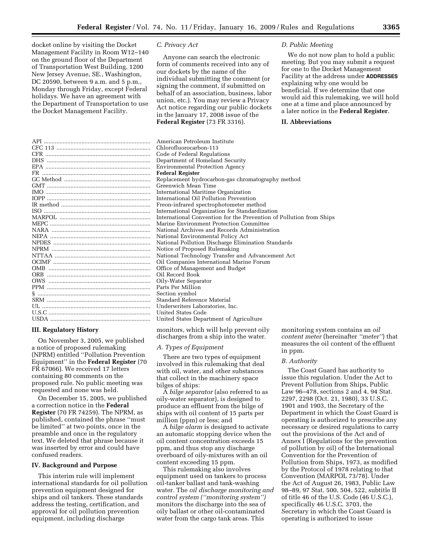docket online by visiting the Docket Management Facility in Room W12–140 on the ground floor of the Department of Transportation West Building, 1200 New Jersey Avenue, SE., Washington, DC 20590, between 9 a.m. and 5 p.m., Monday through Friday, except Federal holidays. We have an agreement with the Department of Transportation to use the Docket Management Facility.

| <b>CFR</b>                  |  |
|-----------------------------|--|
|                             |  |
|                             |  |
|                             |  |
|                             |  |
|                             |  |
|                             |  |
|                             |  |
|                             |  |
| <b>ISO</b>                  |  |
|                             |  |
| MEPC.                       |  |
|                             |  |
|                             |  |
|                             |  |
|                             |  |
|                             |  |
|                             |  |
| <b>OMB</b>                  |  |
| ORB                         |  |
| OWS                         |  |
|                             |  |
| § ………………………………………………………………… |  |
|                             |  |
|                             |  |
|                             |  |
| USDA                        |  |
|                             |  |

## **III. Regulatory History**

On November 3, 2005, we published a notice of proposed rulemaking (NPRM) entitled ''Pollution Prevention Equipment'' in the **Federal Register** (70 FR 67066). We received 17 letters containing 80 comments on the proposed rule. No public meeting was requested and none was held.

On December 15, 2005, we published a correction notice in the **Federal Register** (70 FR 74259). The NPRM, as published, contained the phrase ''must be limited'' at two points, once in the preamble and once in the regulatory text. We deleted that phrase because it was inserted by error and could have confused readers.

#### **IV. Background and Purpose**

This interim rule will implement international standards for oil pollution prevention equipment designed for ships and oil tankers. These standards address the testing, certification, and approval for oil pollution prevention equipment, including discharge

#### *C. Privacy Act*

Anyone can search the electronic form of comments received into any of our dockets by the name of the individual submitting the comment (or signing the comment, if submitted on behalf of an association, business, labor union, etc.). You may review a Privacy Act notice regarding our public dockets in the January 17, 2008 issue of the **Federal Register** (73 FR 3316).

#### *D. Public Meeting*

We do not now plan to hold a public meeting. But you may submit a request for one to the Docket Management Facility at the address under **ADDRESSES** explaining why one would be beneficial. If we determine that one would aid this rulemaking, we will hold one at a time and place announced by a later notice in the **Federal Register**.

#### **II. Abbreviations**

American Petroleum Institute Chlorofluorocarbon-113 Code of Federal Regulations Department of Homeland Security Environmental Protection Agency Federal Register Replacement hydrocarbon-gas chromatography method Greenwich Mean Time International Maritime Organization International Oil Pollution Prevention Freon-infrared spectrophotometer method International Organization for Standardization International Convention for the Prevention of Pollution from Ships Marine Environment Protection Committee National Archives and Records Administration National Environmental Policy Act National Pollution Discharge Elimination Standards Notice of Proposed Rulemaking National Technology Transfer and Advancement Act Oil Companies International Marine Forum Office of Management and Budget Oil Record Book Oily-Water Separator Parts Per Million Section symbol Standard Reference Material Underwriters Laboratories, Inc. United States Code United States Department of Agriculture

monitors, which will help prevent oily discharges from a ship into the water.

#### *A. Types of Equipment*

There are two types of equipment involved in this rulemaking that deal with oil, water, and other substances that collect in the machinery space bilges of ships:

A *bilge separator* (also referred to as oily-water separator), is designed to produce an effluent from the bilge of ships with oil content of 15 parts per million (ppm) or less; and

A *bilge alarm* is designed to activate an automatic stopping device when the oil content concentration exceeds 15 ppm, and thus stop any discharge overboard of oily-mixtures with an oil content exceeding 15 ppm.

This rulemaking also involves equipment used on tankers to process oil-tanker ballast and tank-washing water. The *oil discharge monitoring and control system (''monitoring system'')*  monitors the discharge into the sea of oily ballast or other oil-contaminated water from the cargo tank areas. This

monitoring system contains an *oil content meter* (hereinafter *''meter''*) that measures the oil content of the effluent in ppm.

#### *B. Authority*

The Coast Guard has authority to issue this regulation. Under the Act to Prevent Pollution from Ships, Public Law 96–478, sections 2 and 4, 94 Stat. 2297, 2298 (Oct. 21, 1980), 33 U.S.C. 1901 and 1903, the Secretary of the Department in which the Coast Guard is operating is authorized to prescribe any necessary or desired regulations to carry out the provisions of the Act and of Annex I (Regulations for the prevention of pollution by oil) of the International Convention for the Prevention of Pollution from Ships, 1973, as modified by the Protocol of 1978 relating to that Convention (MARPOL 73/78). Under the Act of August 26, 1983, Public Law 98–89, 97 Stat. 500, 504, 522, subtitle II of title 46 of the U.S. Code (46 U.S.C.), specifically 46 U.S.C. 3703, the Secretary in which the Coast Guard is operating is authorized to issue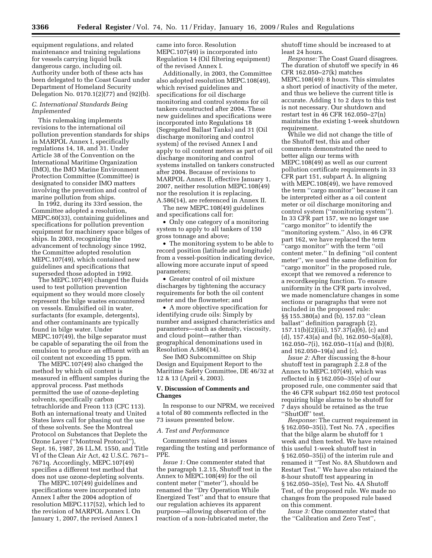equipment regulations, and related maintenance and training regulations for vessels carrying liquid bulk dangerous cargo, including oil. Authority under both of these acts has been delegated to the Coast Guard under Department of Homeland Security Delegation No. 0170.1(2)(77) and (92)(b).

## *C. International Standards Being Implemented*

This rulemaking implements revisions to the international oil pollution prevention standards for ships in MARPOL Annex I, specifically regulations 14, 18, and 31. Under Article 38 of the Convention on the International Maritime Organization (IMO), the IMO Marine Environment Protection Committee (Committee) is designated to consider IMO matters involving the prevention and control of marine pollution from ships.

In 1992, during its 33rd session, the Committee adopted a resolution, MEPC.60(33), containing guidelines and specifications for pollution prevention equipment for machinery space bilges of ships. In 2003, recognizing the advancement of technology since 1992, the Committee adopted resolution MEPC.107(49), which contained new guidelines and specifications that superseded those adopted in 1992.

The MEPC.107(49) changed the fluids used to test pollution prevention equipment so they would more closely represent the bilge wastes encountered on vessels. Emulsified oil in water, surfactants (for example, detergents), and other contaminants are typically found in bilge water. Under MEPC.107(49), the bilge separator must be capable of separating the oil from the emulsion to produce an effluent with an oil content not exceeding 15 ppm.

The MEPC.107(49) also changed the method by which oil content is measured in effluent samples during the approval process. Past methods permitted the use of ozone-depleting solvents, specifically carbon tetrachloride and Freon 113 (CFC 113). Both an international treaty and United States laws call for phasing out the use of these solvents. See the Montreal Protocol on Substances that Deplete the Ozone Layer (''Montreal Protocol''), Sept. 16, 1987, 26 I.L.M. 1550, and Title VI of the Clean Air Act, 42 U.S.C. 7671– 7671q. Accordingly, MEPC.107(49) specifies a different test method that does not use ozone-depleting solvents.

The MEPC.107(49) guidelines and specifications were incorporated into Annex I after the 2004 adoption of resolution MEPC.117(52), which led to the revision of MARPOL Annex I. On January 1, 2007, the revised Annex I

came into force. Resolution MEPC.107(49) is incorporated into Regulation 14 (Oil filtering equipment) of the revised Annex I.

Additionally, in 2003, the Committee also adopted resolution MEPC.108(49), which revised guidelines and specifications for oil discharge monitoring and control systems for oil tankers constructed after 2004. These new guidelines and specifications were incorporated into Regulations 18 (Segregated Ballast Tanks) and 31 (Oil discharge monitoring and control system) of the revised Annex I and apply to oil content meters as part of oil discharge monitoring and control systems installed on tankers constructed after 2004. Because of revisions to MARPOL Annex II, effective January 1, 2007, neither resolution MEPC.108(49) nor the resolution it is replacing, A.586(14), are referenced in Annex II.

The new MEPC.108(49) guidelines and specifications call for:

• Only one category of a monitoring system to apply to all tankers of 150 gross tonnage and above;

• The monitoring system to be able to record position (latitude and longitude) from a vessel-position indicating device, allowing more accurate input of speed parameters;

• Greater control of oil mixture discharges by tightening the accuracy requirements for both the oil content meter and the flowmeter; and

• A more objective specification for identifying crude oils: Simply by number and assigned characteristics and parameters—such as density, viscosity, and cloud point—rather than geographical denominations used in Resolution A.586(14).

See IMO Subcommittee on Ship Design and Equipment Report to the Maritime Safety Committee, DE 46/32 at 12 & 13 (April 4, 2003).

## **V. Discussion of Comments and Changes**

In response to our NPRM, we received a total of 80 comments reflected in the 73 issues presented below.

#### *A. Test and Performance*

Commenters raised 18 issues regarding the testing and performance of PPE.

*Issue 1:* One commenter stated that the paragraph 1.2.15, Shutoff test in the Annex to MEPC.108(49) for the oil content meter (''meter''), should be renamed the ''Dry Operation While Energized Test'' and that to ensure that our regulation achieves its apparent purpose—allowing observation of the reaction of a non-lubricated meter, the

shutoff time should be increased to at least 24 hours.

*Response:* The Coast Guard disagrees. The duration of shutoff we specify in 46 CFR 162.050–27(k) matches MEPC.108(49): 8 hours. This simulates a short period of inactivity of the meter, and thus we believe the current title is accurate. Adding 1 to 2 days to this test is not necessary. Our shutdown and restart test in 46 CFR 162.050–27(n) maintains the existing 1-week shutdown requirement.

While we did not change the title of the Shutoff test, this and other comments demonstrated the need to better align our terms with MEPC.108(49) as well as our current pollution certificate requirements in 33 CFR part 151, subpart A. In aligning with MEPC.108(49), we have removed the term ''cargo monitor'' because it can be interpreted either as a oil content meter or oil discharge monitoring and control system (''monitoring system''). In 33 CFR part 157, we no longer use ''cargo monitor'' to identify the ''monitoring system.'' Also, in 46 CFR part 162, we have replaced the term ''cargo monitor'' with the term ''oil content meter.'' In defining ''oil content meter'', we used the same definition for ''cargo monitor'' in the proposed rule, except that we removed a reference to a recordkeeping function. To ensure uniformity in the CFR parts involved, we made nomenclature changes in some sections or paragraphs that were not included in the proposed rule: §§ 155.380(a) and (b), 157.03 ''clean ballast'' definition paragraph (2), 157.11(b)(2)(iii), 157.37(a)(6), (c) and (d), 157.43(a) and (b), 162.050–5(a)(8), 162.050–7(i), 162.050–11(a) and (b)(8), and 162.050–19(a) and (c).

*Issue 2:* After discussing the 8-hour shutoff test in paragraph 2.2.8 of the Annex to MEPC.107(49), which was reflected in § 162.050–35(e) of our proposed rule, one commenter said that the 46 CFR subpart 162.050 test protocol requiring bilge alarms to be shutoff for 7 days should be retained as the true "ShutOff" test.

*Response:* The current requirement in § 162.050–35(i), Test No. 7A , specifies that the bilge alarm be shutoff for 1 week and then tested. We have retained this useful 1-week shutoff test in § 162.050–35(i) of the interim rule and renamed it ''Test No. 8A Shutdown and Restart Test.'' We have also retained the 8-hour shutoff test appearing in § 162.050–35(e), Test No. 4A Shutoff Test, of the proposed rule. We made no changes from the proposed rule based on this comment.

*Issue 3:* One commenter stated that the ''Calibration and Zero Test'',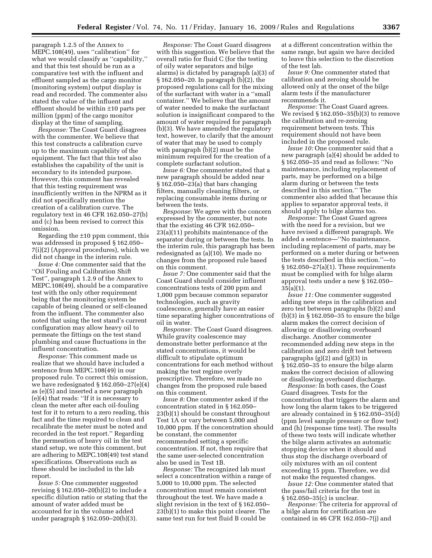paragraph 1.2.5 of the Annex to MEPC.108(49), uses ''calibration'' for what we would classify as ''capability,'' and that this test should be run as a comparative test with the influent and effluent sampled as the cargo monitor (monitoring system) output display is read and recorded. The commenter also stated the value of the influent and effluent should be within ±10 parts per million (ppm) of the cargo monitor display at the time of sampling.

*Response:* The Coast Guard disagrees with the commenter. We believe that this test constructs a calibration curve up to the maximum capability of the equipment. The fact that this test also establishes the capability of the unit is secondary to its intended purpose. However, this comment has revealed that this testing requirement was insufficiently written in the NPRM as it did not specifically mention the creation of a calibration curve. The regulatory text in 46 CFR 162.050–27(b) and (c) has been revised to correct this omission.

Regarding the ±10 ppm comment, this was addressed in proposed § 162.050– 7(i)(2) (Approval procedures), which we did not change in the interim rule.

*Issue 4:* One commenter said that the ''Oil Fouling and Calibration Shift Test'', paragraph 1.2.9 of the Annex to MEPC.108(49), should be a comparative test with the only other requirement being that the monitoring system be capable of being cleaned or self-cleaned from the influent. The commenter also noted that using the test stand's current configuration may allow heavy oil to permeate the fittings on the test stand plumbing and cause fluctuations in the influent concentration.

*Response:* This comment made us realize that we should have included a sentence from MEPC.108(49) in our proposed rule. To correct this omission, we have redesignated § 162.050–27(e)(4) as (e)(5) and inserted a new paragraph (e)(4) that reads: ''If it is necessary to clean the meter after each oil-fouling test for it to return to a zero reading, this fact and the time required to clean and recalibrate the meter must be noted and recorded in the test report.'' Regarding the permeation of heavy oil in the test stand setup, we note this comment, but are adhering to MEPC.108(49) test stand specifications. Observations such as these should be included in the lab report.

*Issue 5:* One commenter suggested revising § 162.050–20(b)(2) to include a specific dilution ratio or stating that the amount of water added must be accounted for in the volume added under paragraph § 162.050–20(b)(3).

*Response:* The Coast Guard disagrees with this suggestion. We believe that the overall ratio for fluid C (for the testing of oily water separators and bilge alarms) is dictated by paragraph (a)(3) of § 162.050–20. In paragraph (b)(2), the proposed regulations call for the mixing of the surfactant with water in a ''small container.'' We believe that the amount of water needed to make the surfactant solution is insignificant compared to the amount of water required for paragraph (b)(3). We have amended the regulatory text, however, to clarify that the amount of water that may be used to comply with paragraph (b)(2) must be the minimum required for the creation of a complete surfactant solution.

*Issue 6:* One commenter stated that a new paragraph should be added near § 162.050–23(a) that bars changing filters, manually cleaning filters, or replacing consumable items during or between the tests.

*Response:* We agree with the concern expressed by the commenter, but note that the existing 46 CFR 162.050– 23(a)(11) prohibits maintenance of the separator during or between the tests. In the interim rule, this paragraph has been redesignated as (a)(10). We made no changes from the proposed rule based on this comment.

*Issue 7:* One commenter said that the Coast Guard should consider influent concentrations tests of 200 ppm and 1,000 ppm because common separator technologies, such as gravity coalescence, generally have an easier time separating higher concentrations of oil in water.

*Response:* The Coast Guard disagrees. While gravity coalescence may demonstrate better performance at the stated concentrations, it would be difficult to stipulate optimum concentrations for each method without making the test regime overly prescriptive. Therefore, we made no changes from the proposed rule based on this comment.

*Issue 8:* One commenter asked if the concentration stated in § 162.050– 23(b)(1) should be constant throughout Test 1A or vary between 5,000 and 10,000 ppm. If the concentration should be constant, the commenter recommended setting a specific concentration. If not, then require that the same user-selected concentration also be used in Test 1B.

*Response:* The recognized lab must select a concentration within a range of 5,000 to 10,000 ppm. The selected concentration must remain consistent throughout the test. We have made a slight revision in the text of § 162.050– 23(b)(1) to make this point clearer. The same test run for test fluid B could be

at a different concentration within the same range, but again we have decided to leave this selection to the discretion of the test lab.

*Issue 9:* One commenter stated that calibration and zeroing should be allowed only at the onset of the bilge alarm tests if the manufacturer recommends it.

*Response:* The Coast Guard agrees. We revised § 162.050–35(b)(3) to remove the calibration and re-zeroing requirement between tests. This requirement should not have been included in the proposed rule.

*Issue 10:* One commenter said that a new paragraph (a)(4) should be added to § 162.050–35 and read as follows: ''No maintenance, including replacement of parts, may be performed on a bilge alarm during or between the tests described in this section.'' The commenter also added that because this applies to separator approval tests, it should apply to bilge alarms too.

*Response:* The Coast Guard agrees with the need for a revision, but we have revised a different paragraph. We added a sentence—''No maintenance, including replacement of parts, may be performed on a meter during or between the tests described in this section.''—to § 162.050–27(a)(1). These requirements must be complied with for bilge alarm approval tests under a new § 162.050–  $35(a)(1)$ .

*Issue 11:* One commenter suggested adding new steps in the calibration and zero test between paragraphs (b)(2) and (b)(3) in § 162.050–35 to ensure the bilge alarm makes the correct decision of allowing or disallowing overboard discharge. Another commenter recommended adding new steps in the calibration and zero drift test between paragraphs (g)(2) and (g)(3) in § 162.050–35 to ensure the bilge alarm makes the correct decision of allowing or disallowing overboard discharge.

*Response:* In both cases, the Coast Guard disagrees. Tests for the concentration that triggers the alarm and how long the alarm takes to be triggered are already contained in § 162.050–35(d) (ppm level sample pressure or flow test) and (h) (response time test). The results of these two tests will indicate whether the bilge alarm activates an automatic stopping device when it should and thus stop the discharge overboard of oily mixtures with an oil content exceeding 15 ppm. Therefore, we did not make the requested changes.

*Issue 12:* One commenter stated that the pass/fail criteria for the test in § 162.050–35(c) is unclear.

*Response:* The criteria for approval of a bilge alarm for certification are contained in 46 CFR 162.050–7(j) and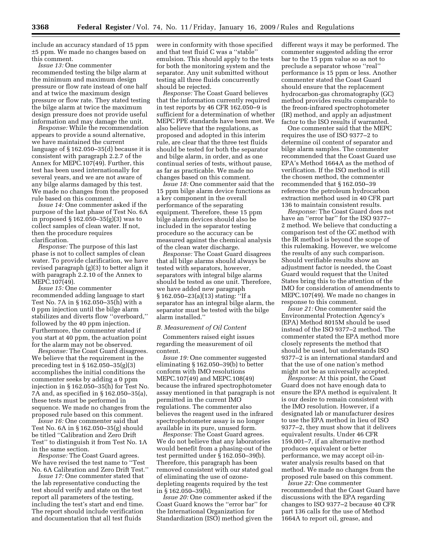include an accuracy standard of 15 ppm ±5 ppm. We made no changes based on this comment.

*Issue 13:* One commenter recommended testing the bilge alarm at the minimum and maximum design pressure or flow rate instead of one half and at twice the maximum design pressure or flow rate. They stated testing the bilge alarm at twice the maximum design pressure does not provide useful information and may damage the unit.

*Response:* While the recommendation appears to provide a sound alternative, we have maintained the current language of § 162.050–35(d) because it is consistent with paragraph 2.2.7 of the Annex for MEPC.107(49). Further, this test has been used internationally for several years, and we are not aware of any bilge alarms damaged by this test. We made no changes from the proposed rule based on this comment.

*Issue 14:* One commenter asked if the purpose of the last phase of Test No. 6A in proposed § 162.050–35(g)(3) was to collect samples of clean water. If not, then the procedure requires clarification.

*Response:* The purpose of this last phase is not to collect samples of clean water. To provide clarification, we have revised paragraph (g)(3) to better align it with paragraph 2.2.10 of the Annex to MEPC.107(49).

*Issue 15:* One commenter recommended adding language to start Test No. 7A in § 162.050–35(h) with a 0 ppm injection until the bilge alarm stabilizes and diverts flow ''overboard,'' followed by the 40 ppm injection. Furthermore, the commenter stated if you start at 40 ppm, the actuation point for the alarm may not be observed.

*Response:* The Coast Guard disagrees. We believe that the requirement in the preceding test in § 162.050–35(g)(3) accomplishes the initial conditions the commenter seeks by adding a 0 ppm injection in § 162.050–35(h) for Test No. 7A and, as specified in § 162.050–35(a), these tests must be performed in sequence. We made no changes from the proposed rule based on this comment.

*Issue 16:* One commenter said that Test No. 6A in § 162.050–35(g) should be titled ''Calibration and Zero Drift Test'' to distinguish it from Test No. 1A in the same section.

*Response:* The Coast Guard agrees. We have revised the test name to ''Test No. 6A Calibration and Zero Drift Test.''

*Issue 17:* One commenter stated that the lab representative conducting the test should verify and state on the test report all parameters of the testing, including the test's start and end time. The report should include verification and documentation that all test fluids

were in conformity with those specified and that test fluid C was a ''stable'' emulsion. This should apply to the tests for both the monitoring system and the separator. Any unit submitted without testing all three fluids concurrently should be rejected.

*Response:* The Coast Guard believes that the information currently required in test reports by 46 CFR 162.050–9 is sufficient for a determination of whether MEPC PPE standards have been met. We also believe that the regulations, as proposed and adopted in this interim rule, are clear that the three test fluids should be tested for both the separator and bilge alarm, in order, and as one continual series of tests, without pause, as far as practicable. We made no changes based on this comment.

*Issue 18:* One commenter said that the 15 ppm bilge alarm device functions as a key component in the overall performance of the separating equipment. Therefore, these 15 ppm bilge alarm devices should also be included in the separator testing procedure so the accuracy can be measured against the chemical analysis of the clean water discharge.

*Response:* The Coast Guard disagrees that all bilge alarms should always be tested with separators, however, separators with integral bilge alarms should be tested as one unit. Therefore, we have added new paragraph § 162.050–23(a)(13) stating: ''If a separator has an integral bilge alarm, the separator must be tested with the bilge alarm installed.''

#### *B. Measurement of Oil Content*

Commenters raised eight issues regarding the measurement of oil content.

*Issue 19:* One commenter suggested eliminating § 162.050–39(b) to better conform with IMO resolutions MEPC.107(49) and MEPC.108(49) because the infrared spectrophotometer assay mentioned in that paragraph is not permitted in the current IMO regulations. The commenter also believes the reagent used in the infrared spectrophotometer assay is no longer available in its pure, unused form.

*Response:* The Coast Guard agrees. We do not believe that any laboratories would benefit from a phasing-out of the test permitted under § 162.050–39(b). Therefore, this paragraph has been removed consistent with our stated goal of eliminating the use of ozonedepleting reagents required by the test in § 162.050–39(b).

*Issue 20:* One commenter asked if the Coast Guard knows the ''error bar'' for the International Organization for Standardization (ISO) method given the different ways it may be performed. The commenter suggested adding the error bar to the 15 ppm value so as not to preclude a separator whose ''real'' performance is 15 ppm or less. Another commenter stated the Coast Guard should ensure that the replacement hydrocarbon-gas chromatography (GC) method provides results comparable to the freon-infrared spectrophotometer (IR) method, and apply an adjustment factor to the ISO results if warranted.

One commenter said that the MEPC requires the use of ISO 9377–2 to determine oil content of separator and bilge alarm samples. The commenter recommended that the Coast Guard use EPA's Method 1664A as the method of verification. If the ISO method is still the chosen method, the commenter recommended that § 162.050–39 reference the petroleum hydrocarbon extraction method used in 40 CFR part 136 to maintain consistent results.

*Response:* The Coast Guard does not have an ''error bar'' for the ISO 9377– 2 method. We believe that conducting a comparison test of the GC method with the IR method is beyond the scope of this rulemaking. However, we welcome the results of any such comparison. Should verifiable results show an adjustment factor is needed, the Coast Guard would request that the United States bring this to the attention of the IMO for consideration of amendments to MEPC.107(49). We made no changes in response to this comment.

*Issue 21:* One commenter said the Environmental Protection Agency's (EPA) Method 8015M should be used instead of the ISO 9377–2 method. The commenter stated the EPA method more closely represents the method that should be used, but understands ISO 9377–2 is an international standard and that the use of one nation's method might not be as universally accepted.

*Response:* At this point, the Coast Guard does not have enough data to ensure the EPA method is equivalent. It is our desire to remain consistent with the IMO resolution. However, if a designated lab or manufacturer desires to use the EPA method in lieu of ISO 9377–2, they must show that it delivers equivalent results. Under 46 CFR 159.001–7, if an alternative method produces equivalent or better performance, we may accept oil-inwater analysis results based on that method. We made no changes from the proposed rule based on this comment.

*Issue 22:* One commenter recommended that the Coast Guard have discussions with the EPA regarding changes to ISO 9377–2 because 40 CFR part 136 calls for the use of Method 1664A to report oil, grease, and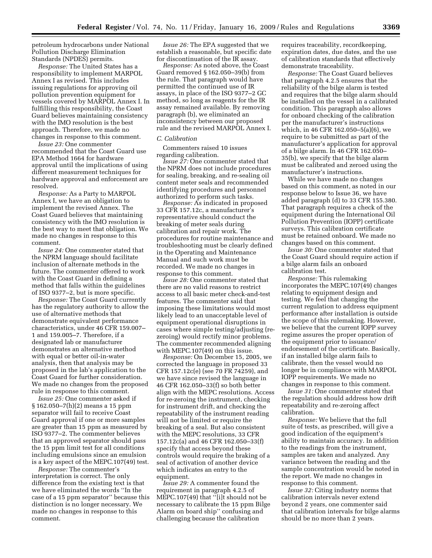petroleum hydrocarbons under National Pollution Discharge Elimination Standards (NPDES) permits.

*Response:* The United States has a responsibility to implement MARPOL Annex I as revised. This includes issuing regulations for approving oil pollution prevention equipment for vessels covered by MARPOL Annex I. In fulfilling this responsibility, the Coast Guard believes maintaining consistency with the IMO resolution is the best approach. Therefore, we made no changes in response to this comment.

*Issue 23:* One commenter recommended that the Coast Guard use EPA Method 1664 for hardware approval until the implications of using different measurement techniques for hardware approval and enforcement are resolved.

*Response:* As a Party to MARPOL Annex I, we have an obligation to implement the revised Annex. The Coast Guard believes that maintaining consistency with the IMO resolution is the best way to meet that obligation. We made no changes in response to this comment.

*Issue 24:* One commenter stated that the NPRM language should facilitate inclusion of alternate methods in the future. The commenter offered to work with the Coast Guard in defining a method that falls within the guidelines of ISO 9377–2, but is more specific.

*Response:* The Coast Guard currently has the regulatory authority to allow the use of alternative methods that demonstrate equivalent performance characteristics, under 46 CFR 159.007– 1 and 159.005–7. Therefore, if a designated lab or manufacturer demonstrates an alternative method with equal or better oil-in-water analysis, then that analysis may be proposed in the lab's application to the Coast Guard for further consideration. We made no changes from the proposed rule in response to this comment.

*Issue 25:* One commenter asked if § 162.050–7(h)(2) means a 15 ppm separator will fail to receive Coast Guard approval if one or more samples are greater than 15 ppm as measured by ISO 9377–2. The commenter believes that an approved separator should pass the 15 ppm limit test for all conditions including emulsions since an emulsion is a key aspect of the MEPC.107(49) test.

*Response:* The commenter's interpretation is correct. The only difference from the existing text is that we have eliminated the words ''In the case of a 15 ppm separator'' because this distinction is no longer necessary. We made no changes in response to this comment.

*Issue 26:* The EPA suggested that we establish a reasonable, but specific date for discontinuation of the IR assay.

*Response:* As noted above, the Coast Guard removed § 162.050–39(b) from the rule. That paragraph would have permitted the continued use of IR assays, in place of the ISO 9377–2 GC method, so long as reagents for the IR assay remained available. By removing paragraph (b), we eliminated an inconsistency between our proposed rule and the revised MARPOL Annex I.

#### *C. Calibration*

Commenters raised 10 issues regarding calibration.

*Issue 27:* One commenter stated that the NPRM does not include procedures for sealing, breaking, and re-sealing oil content meter seals and recommended identifying procedures and personnel authorized to perform such tasks.

*Response:* As indicated in proposed 33 CFR 157.12c, a manufacturer's representative should conduct the breaking of meter seals during calibration and repair work. The procedures for routine maintenance and troubleshooting must be clearly defined in the Operating and Maintenance Manual and such work must be recorded. We made no changes in response to this comment.

*Issue 28:* One commenter stated that there are no valid reasons to restrict access to all basic meter check-and-test features. The commenter said that imposing these limitations would most likely lead to an unacceptable level of equipment operational disruptions in cases where simple testing/adjusting (rezeroing) would rectify minor problems. The commenter recommended aligning with MEPC.107(49) on this issue.

*Response:* On December 15, 2005, we corrected the language in proposed 33 CFR 157.12c(e) (see 70 FR 74259), and we have since revised the language in 46 CFR 162.050–33(f) so both better align with the MEPC resolutions. Access for re-zeroing the instrument, checking for instrument drift, and checking the repeatability of the instrument reading will not be limited or require the breaking of a seal. But also consistent with the MEPC resolutions, 33 CFR 157.12c(a) and 46 CFR 162.050–33(f) specify that access beyond these controls would require the braking of a seal of activation of another device which indicates an entry to the equipment.

*Issue 29:* A commenter found the requirement in paragraph 4.2.5 of MEPC.107(49) that "[i]t should not be necessary to calibrate the 15 ppm Bilge Alarm on board ship'' confusing and challenging because the calibration

requires traceability, recordkeeping, expiration dates, due dates, and the use of calibration standards that effectively demonstrate traceability.

*Response:* The Coast Guard believes that paragraph 4.2.5 ensures that the reliability of the bilge alarm is tested and requires that the bilge alarm should be installed on the vessel in a calibrated condition. This paragraph also allows for onboard checking of the calibration per the manufacturer's instructions which, in 46 CFR 162.050–5(a)(6), we require to be submitted as part of the manufacturer's application for approval of a bilge alarm. In 46 CFR 162.050– 35(b), we specify that the bilge alarm must be calibrated and zeroed using the manufacturer's instructions.

While we have made no changes based on this comment, as noted in our response below to Issue 36, we have added paragraph (d) to 33 CFR 155.380. That paragraph requires a check of the equipment during the International Oil Pollution Prevention (IOPP) certificate surveys. This calibration certificate must be retained onboard. We made no changes based on this comment.

*Issue 30:* One commenter stated that the Coast Guard should require action if a bilge alarm fails an onboard calibration test.

*Response:* This rulemaking incorporates the MEPC.107 $(49)$  changes relating to equipment design and testing. We feel that changing the current regulation to address equipment performance after installation is outside the scope of this rulemaking. However, we believe that the current IOPP survey regime assures the proper operation of the equipment prior to issuance/ endorsement of the certificate. Basically, if an installed bilge alarm fails to calibrate, then the vessel would no longer be in compliance with MARPOL IOPP requirements. We made no changes in response to this comment.

*Issue 31:* One commenter stated that the regulation should address how drift repeatability and re-zeroing affect calibration.

*Response:* We believe that the full suite of tests, as prescribed, will give a good indication of the equipment's ability to maintain accuracy. In addition to the readings from the instrument, samples are taken and analyzed. Any variance between the reading and the sample concentration would be noted in the report. We made no changes in response to this comment.

*Issue 32:* Citing industry norms that calibration intervals never extend beyond 2 years, one commenter said that calibration intervals for bilge alarms should be no more than 2 years.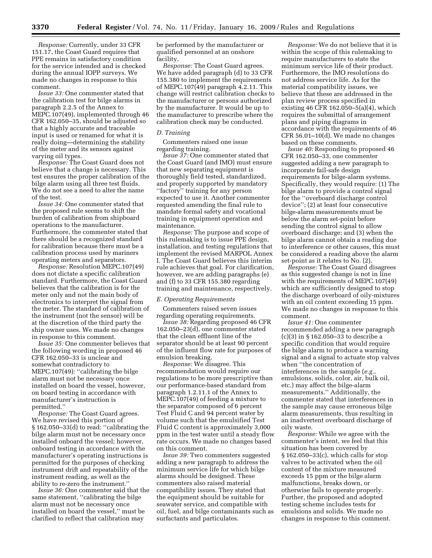*Response:* Currently, under 33 CFR 151.17, the Coast Guard requires that PPE remains in satisfactory condition for the service intended and is checked during the annual IOPP surveys. We made no changes in response to this comment.

*Issue 33:* One commenter stated that the calibration test for bilge alarms in paragraph 2.2.5 of the Annex to MEPC.107(49), implemented through 46 CFR 162.050–35, should be adjusted so that a highly accurate and traceable input is used or renamed for what it is really doing—determining the stability of the meter and its sensors against varying oil types.

*Response:* The Coast Guard does not believe that a change is necessary. This test ensures the proper calibration of the bilge alarm using all three test fluids. We do not see a need to alter the name of the test.

*Issue 34:* One commenter stated that the proposed rule seems to shift the burden of calibration from shipboard operations to the manufacturer. Furthermore, the commenter stated that there should be a recognized standard for calibration because there must be a calibration process used by mariners operating meters and separators.

*Response:* Resolution MEPC.107(49) does not dictate a specific calibration standard. Furthermore, the Coast Guard believes that the calibration is for the meter only and not the main body of electronics to interpret the signal from the meter. The standard of calibration of the instrument (not the sensor) will be at the discretion of the third party the ship owner uses. We made no changes in response to this comment.

*Issue 35:* One commenter believes that the following wording in proposed 46 CFR 162.050–33 is unclear and somewhat contradictory to MEPC.107(49): "calibrating the bilge alarm must not be necessary once installed on board the vessel, however, on board testing in accordance with manufacturer's instruction is permitted.''

*Response:* The Coast Guard agrees. We have revised this portion of § 162.050–33(d) to read: ''calibrating the bilge alarm must not be necessary once installed onboard the vessel; however, onboard testing in accordance with the manufacturer's operating instructions is permitted for the purposes of checking instrument drift and repeatability of the instrument reading, as well as the ability to re-zero the instrument.''

*Issue 36:* One commenter said that the same statement, "calibrating the bilge alarm must not be necessary once installed on board the vessel,'' must be clarified to reflect that calibration may

be performed by the manufacturer or qualified personnel at an onshore facility.

*Response:* The Coast Guard agrees. We have added paragraph (d) to 33 CFR 155.380 to implement the requirements of MEPC.107(49) paragraph 4.2.11. This change will restrict calibration checks to the manufacturer or persons authorized by the manufacturer. It would be up to the manufacturer to prescribe where the calibration check may be conducted.

#### *D. Training*

Commenters raised one issue regarding training.

*Issue 37:* One commenter stated that the Coast Guard (and IMO) must ensure that new separating equipment is thoroughly field tested, standardized, and properly supported by mandatory ''factory'' training for any person expected to use it. Another commenter requested amending the final rule to mandate formal safety and vocational training in equipment operation and maintenance.

*Response:* The purpose and scope of this rulemaking is to issue PPE design, installation, and testing regulations that implement the revised MARPOL Annex I. The Coast Guard believes this interim rule achieves that goal. For clarification, however, we are adding paragraphs (e) and (f) to 33 CFR 155.380 regarding training and maintenance, respectively.

#### *E. Operating Requirements*

Commenters raised seven issues regarding operating requirements.

*Issue 38:* Regarding proposed 46 CFR 162.050–23(d), one commenter stated that the clean effluent line of the separator should be at least 90 percent of the influent flow rate for purposes of emulsion breaking.

*Response:* We disagree. This recommendation would require our regulations to be more prescriptive than our performance-based standard from paragraph 1.2.11.1 of the Annex to MEPC.107(49) of feeding a mixture to the separator composed of 6 percent Test Fluid C and 94 percent water by volume such that the emulsified Test Fluid C content is approximately 3,000 ppm in the test water until a steady flow rate occurs. We made no changes based on this comment.

*Issue 39:* Two commenters suggested adding a new paragraph to address the minimum service life for which bilge alarms should be designed. These commenters also raised material compatibility issues. They stated that the equipment should be suitable for seawater service, and compatible with oil, fuel, and bilge contaminants such as surfactants and particulates.

*Response:* We do not believe that it is within the scope of this rulemaking to require manufacturers to state the minimum service life of their product. Furthermore, the IMO resolutions do not address service life. As for the material compatibility issues, we believe that these are addressed in the plan review process specified in existing 46 CFR 162.050–5(a)(4), which requires the submittal of arrangement plans and piping diagrams in accordance with the requirements of 46 CFR 56.01–10(d). We made no changes based on these comments.

*Issue 40:* Responding to proposed 46 CFR 162.050–33, one commenter suggested adding a new paragraph to incorporate fail-safe design requirements for bilge-alarm systems. Specifically, they would require: (1) The bilge alarm to provide a control signal for the ''overboard discharge control device''; (2) at least four consecutive bilge-alarm measurements must be below the alarm set-point before sending the control signal to allow overboard discharge; and (3) when the bilge alarm cannot obtain a reading due to interference or other causes, this must be considered a reading above the alarm set-point as it relates to No. (2).

*Response:* The Coast Guard disagrees as this suggested change is not in line with the requirements of MEPC.107(49) which are sufficiently designed to stop the discharge overboard of oily-mixtures with an oil content exceeding 15 ppm. We made no changes in response to this comment.

*Issue 41:* One commenter recommended adding a new paragraph (c)(3) in § 162.050–33 to describe a specific condition that would require the bilge alarm to produce a warning signal and a signal to actuate stop valves when ''the concentration of interferences in the sample (*e.g.*, emulsions, solids, color, air, bulk oil, etc.) may affect the bilge-alarm measurements.'' Additionally, the commenter stated that interferences in the sample may cause erroneous bilge alarm measurements, thus resulting in an inadvertent overboard discharge of oily waste.

*Response:* While we agree with the commenter's intent, we feel that this situation has been covered by § 162.050–33(c), which calls for stop valves to be activated when the oil content of the mixture measured exceeds 15 ppm or the bilge alarm malfunctions, breaks down, or otherwise fails to operate properly. Further, the proposed and adopted testing scheme includes tests for emulsions and solids. We made no changes in response to this comment.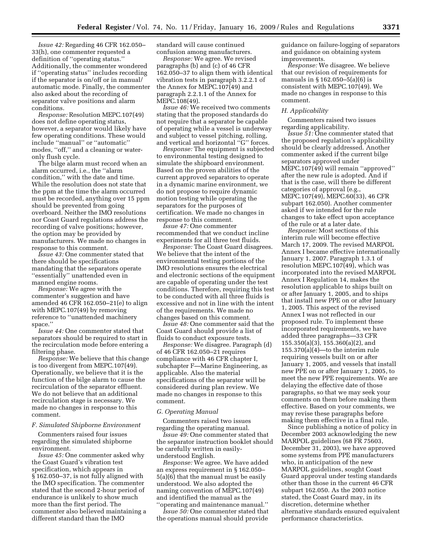*Issue 42:* Regarding 46 CFR 162.050– 33(h), one commenter requested a definition of ''operating status.'' Additionally, the commenter wondered if ''operating status'' includes recording if the separator is on/off or in manual/ automatic mode. Finally, the commenter also asked about the recording of separator valve positions and alarm conditions.

*Response:* Resolution MEPC.107(49) does not define operating status, however, a separator would likely have few operating conditions. These would include ''manual'' or ''automatic'' modes, ''off,'' and a cleaning or wateronly flush cycle.

The bilge alarm must record when an alarm occurred, i.e., the ''alarm condition,'' with the date and time. While the resolution does not state that the ppm at the time the alarm occurred must be recorded, anything over 15 ppm should be prevented from going overboard. Neither the IMO resolutions nor Coast Guard regulations address the recording of valve positions; however, the option may be provided by manufacturers. We made no changes in response to this comment.

*Issue 43:* One commenter stated that there should be specifications mandating that the separators operate ''essentially'' unattended even in manned engine rooms.

*Response:* We agree with the commenter's suggestion and have amended 46 CFR 162.050–21(e) to align with MEPC.107(49) by removing reference to ''unattended machinery space.''

*Issue 44:* One commenter stated that separators should be required to start in the recirculation mode before entering a filtering phase.

*Response:* We believe that this change is too divergent from MEPC.107(49). Operationally, we believe that it is the function of the bilge alarm to cause the recirculation of the separator effluent. We do not believe that an additional recirculation stage is necessary. We made no changes in response to this comment.

#### *F. Simulated Shipborne Environment*

Commenters raised four issues regarding the simulated shipborne environment.

*Issue 45:* One commenter asked why the Coast Guard's vibration test specification, which appears in § 162.050–37, is not fully aligned with the IMO specification. The commenter stated that the second 2-hour period of endurance is unlikely to show much more than the first period. The commenter also believed maintaining a different standard than the IMO

standard will cause continued confusion among manufacturers.

*Response:* We agree. We revised paragraphs (b) and (c) of 46 CFR 162.050–37 to align them with identical vibration tests in paragraph 3.2.2.1 of the Annex for MEPC.107(49) and paragraph 2.2.1.1 of the Annex for MEPC.108(49).

*Issue 46:* We received two comments stating that the proposed standards do not require that a separator be capable of operating while a vessel is underway and subject to vessel pitching, rolling, and vertical and horizontal ''G'' forces.

*Response:* The equipment is subjected to environmental testing designed to simulate the shipboard environment. Based on the proven abilities of the current approved separators to operate in a dynamic marine environment, we do not propose to require dynamic motion testing while operating the separators for the purposes of certification. We made no changes in response to this comment.

*Issue 47:* One commenter recommended that we conduct incline experiments for all three test fluids.

*Response:* The Coast Guard disagrees. We believe that the intent of the environmental testing portions of the IMO resolutions ensures the electrical and electronic sections of the equipment are capable of operating under the test conditions. Therefore, requiring this test to be conducted with all three fluids is excessive and not in line with the intent of the requirements. We made no changes based on this comment.

*Issue 48:* One commenter said that the Coast Guard should provide a list of fluids to conduct exposure tests.

*Response:* We disagree. Paragraph (d) of 46 CFR 162.050–21 requires compliance with 46 CFR chapter I, subchapter F—Marine Engineering, as applicable. Also the material specifications of the separator will be considered during plan review. We made no changes in response to this comment.

#### *G. Operating Manual*

Commenters raised two issues regarding the operating manual.

*Issue 49:* One commenter stated that the separator instruction booklet should be carefully written in easilyunderstood English.

*Response:* We agree. We have added an express requirement in § 162.050– 5(a)(6) that the manual must be easily understood. We also adopted the naming convention of MEPC.107(49) and identified the manual as the

''operating and maintenance manual.'' *Issue 50:* One commenter stated that the operations manual should provide guidance on failure-logging of separators and guidance on obtaining system improvements.

*Response:* We disagree. We believe that our revision of requirements for manuals in § 162.050–5(a)(6) is consistent with MEPC.107(49). We made no changes in response to this comment.

#### *H. Applicability*

Commenters raised two issues regarding applicability.

*Issue 51:* One commenter stated that the proposed regulation's applicability should be clearly addressed. Another commenter asked if the current bilge separators approved under MEPC.107(49) will remain ''approved'' after the new rule is adopted. And if that is the case, will there be different categories of approval (e.g., MEPC.107(49), MEPC.60(33), 46 CFR subpart 162.050). Another commenter asked if we intended for the rule changes to take effect upon acceptance of the rule or at a later date.

*Response:* Most sections of this interim rule will become effective March 17, 2009. The revised MARPOL Annex I became effective internationally January 1, 2007. Paragraph 1.3.1 of resolution MEPC.107(49), which was incorporated into the revised MARPOL Annex I Regulation 14, makes the resolution applicable to ships built on or after January 1, 2005, and to ships that install new PPE on or after January 1, 2005. This aspect of the revised Annex I was not reflected in our proposed rule. To implement these incorporated requirements, we have added three paragraphs—33 CFR 155.350(a)(3), 155.360(a)(2), and 155.370(a)(4)—to the interim rule requiring vessels built on or after January 1, 2005, and vessels that install new PPE on or after January 1, 2005, to meet the new PPE requirements. We are delaying the effective date of those paragraphs, so that we may seek your comments on them before making them effective. Based on your comments, we may revise these paragraphs before making them effective in a final rule.

Since publishing a notice of policy in December 2003 acknowledging the new MARPOL guidelines (68 FR 75603, December 31, 2003), we have approved some systems from PPE manufacturers who, in anticipation of the new MARPOL guidelines, sought Coast Guard approval under testing standards other than those in the current 46 CFR subpart 162.050. As the 2003 notice stated, the Coast Guard may, in its discretion, determine whether alternative standards ensured equivalent performance characteristics.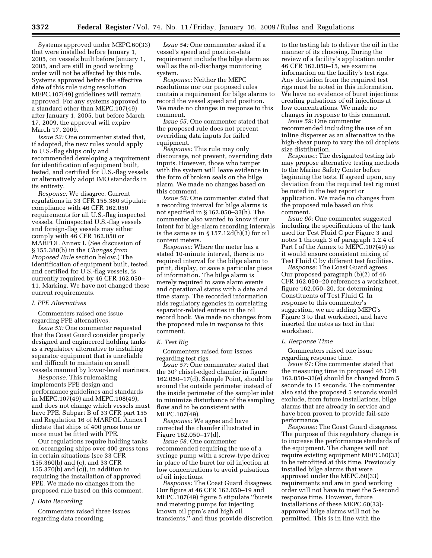Systems approved under MEPC.60(33) that were installed before January 1, 2005, on vessels built before January 1, 2005, and are still in good working order will not be affected by this rule. Systems approved before the effective date of this rule using resolution MEPC.107(49) guidelines will remain approved. For any systems approved to a standard other than MEPC.107(49) after January 1, 2005, but before March 17, 2009, the approval will expire March 17, 2009.

*Issue 52:* One commenter stated that, if adopted, the new rules would apply to U.S.-flag ships only and recommended developing a requirement for identification of equipment built, tested, and certified for U.S.-flag vessels or alternatively adopt IMO standards in its entirety.

*Response:* We disagree. Current regulations in 33 CFR 155.380 stipulate compliance with 46 CFR 162.050 requirements for all U.S.-flag inspected vessels. Uninspected U.S.-flag vessels and foreign-flag vessels may either comply with 46 CFR 162.050 or MARPOL Annex I. (See discussion of § 155.380(b) in the *Changes from Proposed Rule* section below.) The identification of equipment built, tested, and certified for U.S.-flag vessels, is currently required by 46 CFR 162.050– 11, Marking. We have not changed these current requirements.

#### *I. PPE Alternatives*

Commenters raised one issue regarding PPE alternatives.

*Issue 53:* One commenter requested that the Coast Guard consider properly designed and engineered holding tanks as a regulatory alternative to installing separator equipment that is unreliable and difficult to maintain on small vessels manned by lower-level mariners.

*Response:* This rulemaking implements PPE design and performance guidelines and standards in MEPC.107(49) and MEPC.108(49), and does not change which vessels must have PPE. Subpart B of 33 CFR part 155 and Regulation 16 of MARPOL Annex I dictate that ships of 400 gross tons or more must be fitted with PPE.

Our regulations require holding tanks on oceangoing ships over 400 gross tons in certain situations (see 33 CFR 155.360(b) and (c), and 33 CFR 155.370(b) and (c)), in addition to requiring the installation of approved PPE. We made no changes from the proposed rule based on this comment.

#### *J. Data Recording*

Commenters raised three issues regarding data recording.

*Issue 54:* One commenter asked if a vessel's speed and position-data requirement include the bilge alarm as well as the oil-discharge monitoring system.

*Response:* Neither the MEPC resolutions nor our proposed rules contain a requirement for bilge alarms to record the vessel speed and position. We made no changes in response to this comment.

*Issue 55:* One commenter stated that the proposed rule does not prevent overriding data inputs for failed equipment.

*Response:* This rule may only discourage, not prevent, overriding data inputs. However, those who tamper with the system will leave evidence in the form of broken seals on the bilge alarm. We made no changes based on this comment.

*Issue 56:* One commenter stated that a recording interval for bilge alarms is not specified in § 162.050–33(h). The commenter also wanted to know if our intent for bilge-alarm recording intervals is the same as in § 157.12d(h)(3) for oil content meters.

*Response:* Where the meter has a stated 10-minute interval, there is no required interval for the bilge alarm to print, display, or save a particular piece of information. The bilge alarm is merely required to save alarm events and operational status with a date and time stamp. The recorded information aids regulatory agencies in correlating separator-related entries in the oil record book. We made no changes from the proposed rule in response to this comment.

#### *K. Test Rig*

Commenters raised four issues regarding test rigs.

*Issue 57:* One commenter stated that the 30° chisel-edged chamfer in figure 162.050–17(d), Sample Point, should be around the outside perimeter instead of the inside perimeter of the sampler inlet to minimize disturbance of the sampling flow and to be consistent with MEPC.107(49).

*Response:* We agree and have corrected the chamfer illustrated in Figure 162.050–17(d).

*Issue 58:* One commenter recommended requiring the use of a syringe pump with a screw-type driver in place of the buret for oil injection at low concentrations to avoid pulsations of oil injections.

*Response:* The Coast Guard disagrees. Our figure at 46 CFR 162.050–19 and MEPC.107(49) figure 5 stipulate ''burets and metering pumps for injecting known oil ppm's and high oil transients,'' and thus provide discretion

to the testing lab to deliver the oil in the manner of its choosing. During the review of a facility's application under 46 CFR 162.050–15, we examine information on the facility's test rigs. Any deviation from the required test rigs must be noted in this information. We have no evidence of buret injections creating pulsations of oil injections at low concentrations. We made no changes in response to this comment.

*Issue 59:* One commenter recommended including the use of an inline disperser as an alternative to the high-shear pump to vary the oil droplets size distribution.

*Response:* The designated testing lab may propose alternative testing methods to the Marine Safety Center before beginning the tests. If agreed upon, any deviation from the required test rig must be noted in the test report or application. We made no changes from the proposed rule based on this comment.

*Issue 60:* One commenter suggested including the specifications of the tank used for Test Fluid C per Figure 3 and notes 1 through 3 of paragraph 1.2.4 of Part I of the Annex to MEPC.107(49) as it would ensure consistent mixing of Test Fluid C by different test facilities.

*Response:* The Coast Guard agrees. Our proposed paragraph (b)(2) of 46 CFR 162.050–20 references a worksheet, figure 162.050–20, for determining Constituents of Test Fluid C. In response to this commenter's suggestion, we are adding MEPC's Figure 3 to that worksheet, and have inserted the notes as text in that worksheet.

#### *L. Response Time*

Commenters raised one issue regarding response time.

*Issue 61:* One commenter stated that the measuring time in proposed 46 CFR 162.050–33(e) should be changed from 5 seconds to 15 seconds. The commenter also said the proposed 5 seconds would exclude, from future installations, bilge alarms that are already in service and have been proven to provide fail-safe performance.

*Response:* The Coast Guard disagrees. The purpose of this regulatory change is to increase the performance standards of the equipment. The changes will not require existing equipment MEPC.60(33) to be retrofitted at this time. Previously installed bilge alarms that were approved under the MEPC.60(33) requirements and are in good working order will not have to meet the 5-second response time. However, future installations of these MEPC.60(33) approved bilge alarms will not be permitted. This is in line with the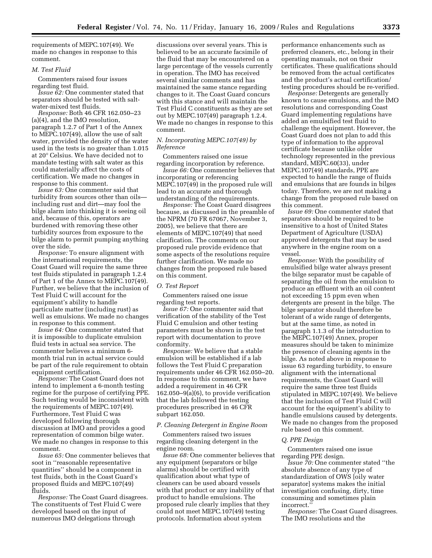requirements of MEPC.107(49). We made no changes in response to this comment.

#### *M. Test Fluid*

Commenters raised four issues regarding test fluid.

*Issue 62:* One commenter stated that separators should be tested with saltwater-mixed test fluids.

*Response:* Both 46 CFR 162.050–23 (a)(4), and the IMO resolution, paragraph 1.2.7 of Part 1 of the Annex to MEPC.107(49), allow the use of salt water, provided the density of the water used in the tests is no greater than 1.015 at 20° Celsius. We have decided not to mandate testing with salt water as this could materially affect the costs of certification. We made no changes in response to this comment.

*Issue 63:* One commenter said that turbidity from sources other than oils including rust and dirt—may fool the bilge alarm into thinking it is seeing oil and, because of this, operators are burdened with removing these other turbidity sources from exposure to the bilge alarm to permit pumping anything over the side.

*Response:* To ensure alignment with the international requirements, the Coast Guard will require the same three test fluids stipulated in paragraph 1.2.4 of Part 1 of the Annex to MEPC.107(49). Further, we believe that the inclusion of Test Fluid C will account for the equipment's ability to handle particulate matter (including rust) as well as emulsions. We made no changes in response to this comment.

*Issue 64:* One commenter stated that it is impossible to duplicate emulsion fluid tests in actual sea service. The commenter believes a minimum 6 month trial run in actual service could be part of the rule requirement to obtain equipment certification.

*Response:* The Coast Guard does not intend to implement a 6-month testing regime for the purpose of certifying PPE. Such testing would be inconsistent with the requirements of MEPC.107(49). Furthermore, Test Fluid C was developed following thorough discussion at IMO and provides a good representation of common bilge water. We made no changes in response to this comment.

*Issue 65:* One commenter believes that soot in ''reasonable representative quantities'' should be a component in test fluids, both in the Coast Guard's proposed fluids and MEPC.107(49) fluids.

*Response:* The Coast Guard disagrees. The constituents of Test Fluid C were developed based on the input of numerous IMO delegations through

discussions over several years. This is believed to be an accurate facsimile of the fluid that may be encountered on a large percentage of the vessels currently in operation. The IMO has received several similar comments and has maintained the same stance regarding changes to it. The Coast Guard concurs with this stance and will maintain the Test Fluid C constituents as they are set out by MEPC.107(49) paragraph 1.2.4. We made no changes in response to this comment.

#### *N. Incorporating MEPC.107(49) by Reference*

Commenters raised one issue regarding incorporation by reference.

*Issue 66:* One commenter believes that incorporating or referencing MEPC.107(49) in the proposed rule will lead to an accurate and thorough understanding of the requirements.

*Response:* The Coast Guard disagrees because, as discussed in the preamble of the NPRM (70 FR 67067, November 3, 2005), we believe that there are elements of MEPC.107(49) that need clarification. The comments on our proposed rule provide evidence that some aspects of the resolutions require further clarification. We made no changes from the proposed rule based on this comment.

#### *O. Test Report*

Commenters raised one issue regarding test reports.

*Issue 67:* One commenter said that verification of the stability of the Test Fluid C emulsion and other testing parameters must be shown in the test report with documentation to prove conformity.

*Response:* We believe that a stable emulsion will be established if a lab follows the Test Fluid C preparation requirements under 46 CFR 162.050–20. In response to this comment, we have added a requirement in 46 CFR 162.050–9(a)(6), to provide verification that the lab followed the testing procedures prescribed in 46 CFR subpart 162.050.

#### *P. Cleaning Detergent in Engine Room*

Commenters raised two issues regarding cleaning detergent in the engine room.

*Issue 68:* One commenter believes that any equipment (separators or bilge alarms) should be certified with qualification about what type of cleaners can be used aboard vessels with that product or any inability of that product to handle emulsions. The proposed rule clearly implies that they could not meet MEPC.107(49) testing protocols. Information about system

performance enhancements such as preferred cleaners, etc., belong in their operating manuals, not on their certificates. These qualifications should be removed from the actual certificates and the product's actual certification/ testing procedures should be re-verified.

*Response:* Detergents are generally known to cause emulsions, and the IMO resolutions and corresponding Coast Guard implementing regulations have added an emulsified test fluid to challenge the equipment. However, the Coast Guard does not plan to add this type of information to the approval certificate because unlike older technology represented in the previous standard, MEPC.60(33), under MEPC.107(49) standards, PPE are expected to handle the range of fluids and emulsions that are founds in bilges today. Therefore, we are not making a change from the proposed rule based on this comment.

*Issue 69:* One commenter stated that separators should be required to be insensitive to a host of United States Department of Agriculture (USDA) approved detergents that may be used anywhere in the engine room on a vessel.

*Response:* With the possibility of emulsified bilge water always present the bilge separator must be capable of separating the oil from the emulsion to produce an effluent with an oil content not exceeding 15 ppm even when detergents are present in the bilge. The bilge separator should therefore be tolerant of a wide range of detergents, but at the same time, as noted in paragraph 1.1.3 of the introduction to the MEPC.107(49) Annex, proper measures should be taken to minimize the presence of cleaning agents in the bilge. As noted above in response to issue 63 regarding turbidity, to ensure alignment with the international requirements, the Coast Guard will require the same three test fluids stipulated in MEPC.107(49). We believe that the inclusion of Test Fluid C will account for the equipment's ability to handle emulsions caused by detergents. We made no changes from the proposed rule based on this comment.

## *Q. PPE Design*

Commenters raised one issue regarding PPE design.

*Issue 70:* One commenter stated ''the absolute absence of any type of standardization of OWS [oily water separator] systems makes the initial investigation confusing, dirty, time consuming and sometimes plain incorrect.''

*Response:* The Coast Guard disagrees. The IMO resolutions and the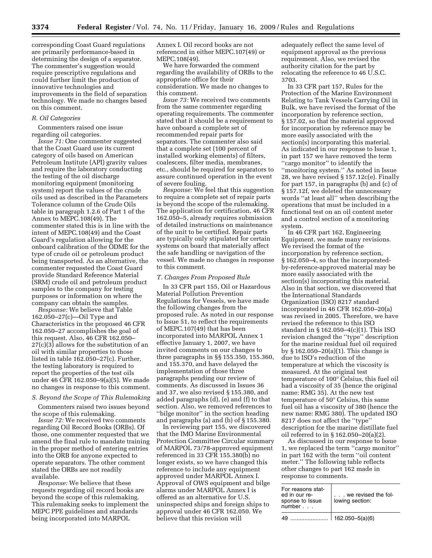corresponding Coast Guard regulations are primarily performance-based in determining the design of a separator. The commenter's suggestion would require prescriptive regulations and could further limit the production of innovative technologies and improvements in the field of separation technology. We made no changes based on this comment.

#### *R. Oil Categories*

Commenters raised one issue regarding oil categories.

*Issue 71:* One commenter suggested that the Coast Guard use its current category of oils based on American Petroleum Institute (API) gravity values and require the laboratory conducting the testing of the oil discharge monitoring equipment (monitoring system) report the values of the crude oils used as described in the Parameters Tolerance column of the Crude Oils table in paragraph 1.2.6 of Part 1 of the Annex to MEPC.108(49). The commenter stated this is in line with the intent of MEPC.108(49) and the Coast Guard's regulation allowing for the onboard calibration of the ODME for the type of crude oil or petroleum product being transported. As an alternative, the commenter requested the Coast Guard provide Standard Reference Material (SRM) crude oil and petroleum product samples to the company for testing purposes or information on where the company can obtain the samples.

*Response:* We believe that Table 162.050–27(c)—Oil Type and Characteristics in the proposed 46 CFR 162.050–27 accomplishes the goal of this request. Also, 46 CFR 162.050– 27(c)(3) allows for the substitution of an oil with similar properties to those listed in table 162.050–27(c). Further, the testing laboratory is required to report the properties of the test oils under 46 CFR 162.050–9(a)(5). We made no changes in response to this comment.

## *S. Beyond the Scope of This Rulemaking*

Commenters raised two issues beyond the scope of this rulemaking.

*Issue 72:* We received two comments regarding Oil Record Books (ORBs). Of those, one commenter requested that we amend the final rule to mandate training in the proper method of entering entries into the ORB for anyone expected to operate separators. The other comment stated the ORBs are not readily available.

*Response:* We believe that these requests regarding oil record books are beyond the scope of this rulemaking. This rulemaking seeks to implement the MEPC PPE guidelines and standards being incorporated into MARPOL

Annex I. Oil record books are not referenced in either MEPC.107(49) or MEPC.108(49).

We have forwarded the comment regarding the availability of ORBs to the appropriate office for their consideration. We made no changes to this comment.

*Issue 73:* We received two comments from the same commenter regarding operating requirements. The commenter stated that it should be a requirement to have onboard a complete set of recommended repair parts for separators. The commenter also said that a complete set (100 percent of installed working elements) of filters, coalescers, filter media, membranes, etc., should be required for separators to assure continued operation in the event of severe fouling.

*Response:* We feel that this suggestion to require a complete set of repair parts is beyond the scope of the rulemaking. The application for certification, 46 CFR 162.050–5, already requires submission of detailed instructions on maintenance of the unit to be certified. Repair parts are typically only stipulated for certain systems on board that materially affect the safe handling or navigation of the vessel. We made no changes in response to this comment.

#### *T. Changes From Proposed Rule*

In 33 CFR part 155, Oil or Hazardous Material Pollution Prevention Regulations for Vessels, we have made the following changes from the proposed rule. As noted in our response to Issue 51, to reflect the requirements of MEPC.107(49) that has been incorporated into MARPOL Annex 1 effective January 1, 2007, we have invited comments on our changes to three paragraphs in §§ 155.350, 155.360, and 155.370, and have delayed the implementation of those three paragraphs pending our review of comments. As discussed in Issues 36 and 37, we also revised § 155.380, and added paragraphs (d), (e) and (f) to that section. Also, we removed references to ''bilge monitor'' in the section heading and paragraphs (a) and (b) of § 155.380.

In reviewing part 155, we discovered that the IMO Marine Environmental Protection Committee Circular summary of MARPOL 73/78-approved equipment referenced in 33 CFR 155.380(b) no longer exists, so we have changed this reference to include any equipment approved under MARPOL Annex I. Approval of OWS equipment and bilge alarms under MARPOL Annex I is offered as an alternative for U.S. uninspected ships and foreign ships to approval under 46 CFR 162.050. We believe that this revision will

adequately reflect the same level of equipment approval as the previous requirement. Also, we revised the authority citation for the part by relocating the reference to 46 U.S.C. 3703.

In 33 CFR part 157, Rules for the Protection of the Marine Environment Relating to Tank Vessels Carrying Oil in Bulk, we have revised the format of the incorporation by reference section, § 157.02, so that the material approved for incorporation by reference may be more easily associated with the section(s) incorporating this material. As indicated in our response to Issue 1, in part 157 we have removed the term ''cargo monitor'' to identify the "monitoring system." As noted in Issue 28, we have revised § 157.12c(e). Finally for part 157, in paragraphs (b) and (c) of § 157.12f, we deleted the unnecessary words ''at least all'' when describing the operations that must be included in a functional test on an oil content meter and a control section of a monitoring system.

In 46 CFR part 162, Engineering Equipment, we made many revisions. We revised the format of the incorporation by reference section, § 162.050–4, so that the incorporatedby-reference-approved material may be more easily associated with the section(s) incorporating this material. Also in that section, we discovered that the International Standards Organization (ISO) 8217 standard incorporated in 46 CFR 162.050–20(a) was revised in 2005. Therefore, we have revised the reference to this ISO standard in § 162.050–4(c)(1). This ISO revision changed the ''type'' description for the marine residual fuel oil required by § 162.050–20(a)(1). This change is due to ISO's reduction of the temperature at which the viscosity is measured. At the original test temperature of 100° Celsius, this fuel oil had a viscosity of 35 (hence the original name: RMG 35). At the new test temperature of 50° Celsius, this same fuel oil has a viscosity of 380 (hence the new name: RMG 380). The updated ISO 8217 does not affect the ''type'' description for the marine distillate fuel oil referred to in § 162.050–20(a)(2).

As discussed in our response to Issue 1, we replaced the term ''cargo monitor'' in part 162 with the term ''oil content meter.'' The following table reflects other changes to part 162 made in response to comments.

| For reasons stat-<br>ed in our re-<br>sponse to Issue<br>number. | . we revised the fol-<br>lowing section: |
|------------------------------------------------------------------|------------------------------------------|
|                                                                  | $162.050 - 5(a)(6)$                      |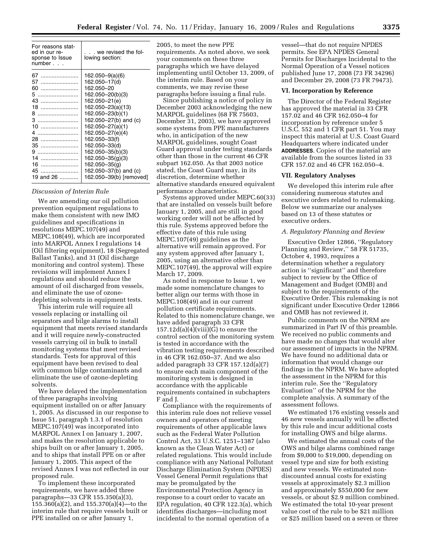| For reasons stat-<br>ed in our re-<br>sponse to Issue<br>number | . we revised the fol-<br>lowing section:                                                                                                                                                      |
|-----------------------------------------------------------------|-----------------------------------------------------------------------------------------------------------------------------------------------------------------------------------------------|
| 67<br>57.<br>60<br>5<br>$18$<br>8<br>10<br>4                    | 162.050–9(a)(6)<br>162.050-17(d)<br>162.050-20<br>162.050-20(b)(3)<br>162.050-21(e)<br>162.050–23(a)(13)<br>162.050-23(b)(1)<br>162.050-27(b) and (c)<br>162.050–27(a)(1)<br>162.050–27(e)(4) |
| 35<br>14<br>16<br>19 and $26$                                   | 162.050-33(f)<br>162.050-33(d)<br>162.050-35(b)(3)<br>162.050-35(g)(3)<br>162.050-35(g)<br>162.050–37(b) and (c)<br>162.050-39(b) [removed]                                                   |

#### *Discussion of Interim Rule*

We are amending our oil pollution prevention equipment regulations to make them consistent with new IMO guidelines and specifications in resolutions MEPC.107(49) and MEPC.108(49), which are incorporated into MARPOL Annex I regulations 14 (Oil filtering equipment), 18 (Segregated Ballast Tanks), and 31 (Oil discharge monitoring and control system). These revisions will implement Annex I regulations and should reduce the amount of oil discharged from vessels, and eliminate the use of ozonedepleting solvents in equipment tests.

This interim rule will require all vessels replacing or installing oil separators and bilge alarms to install equipment that meets revised standards and it will require newly-constructed vessels carrying oil in bulk to install monitoring systems that meet revised standards. Tests for approval of this equipment have been revised to deal with common bilge contaminants and eliminate the use of ozone-depleting solvents.

We have delayed the implementation of three paragraphs involving equipment installed on or after January 1, 2005. As discussed in our response to Issue 51, paragraph 1.3.1 of resolution MEPC.107(49) was incorporated into MARPOL Annex I on January 1, 2007, and makes the resolution applicable to ships built on or after January 1, 2005, and to ships that install PPE on or after January 1, 2005. This aspect of the revised Annex I was not reflected in our proposed rule.

To implement these incorporated requirements, we have added three paragraphs—33 CFR 155.350(a)(3), 155.360(a)(2), and 155.370(a)(4)—to the interim rule that require vessels built or PPE installed on or after January 1,

2005, to meet the new PPE requirements. As noted above, we seek your comments on these three paragraphs which we have delayed implementing until October 13, 2009, of the interim rule. Based on your comments, we may revise these paragraphs before issuing a final rule.

Since publishing a notice of policy in December 2003 acknowledging the new MARPOL guidelines (68 FR 75603, December 31, 2003), we have approved some systems from PPE manufacturers who, in anticipation of the new MARPOL guidelines, sought Coast Guard approval under testing standards other than those in the current 46 CFR subpart 162.050. As that 2003 notice stated, the Coast Guard may, in its discretion, determine whether alternative standards ensured equivalent performance characteristics.

Systems approved under MEPC.60(33) that are installed on vessels built before January 1, 2005, and are still in good working order will not be affected by this rule. Systems approved before the effective date of this rule using MEPC.107(49) guidelines as the alternative will remain approved. For any system approved after January 1, 2005, using an alternative other than MEPC.107(49), the approval will expire March 17, 2009.

As noted in response to Issue 1, we made some nomenclature changes to better align our terms with those in MEPC.108(49) and in our current pollution certificate requirements. Related to this nomenclature change, we have added paragraph 33 CFR  $157.12d(a)(4)(viii)(G)$  to ensure the control section of the monitoring system is tested in accordance with the vibration testing requirements described in 46 CFR 162.050–37. And we also added paragraph 33 CFR 157.12d(a)(7) to ensure each main component of the monitoring system is designed in accordance with the applicable requirements contained in subchapters F and J.

Compliance with the requirements of this interim rule does not relieve vessel owners and operators of meeting requirements of other applicable laws such as the Federal Water Pollution Control Act, 33 U.S.C. 1251–1387 (also known as the Clean Water Act) or related regulations. This would include compliance with any National Pollutant Discharge Elimination System (NPDES) Vessel General Permit regulations that may be promulgated by the Environmental Protection Agency in response to a court order to vacate an EPA regulation, 40 CFR 122.3(a), which identifies discharges—including most incidental to the normal operation of a

vessel—that do not require NPDES permits. See EPA NPDES General Permits for Discharges Incidental to the Normal Operation of a Vessel notices published June 17, 2008 (73 FR 34296) and December 29, 2008 (73 FR 79473).

## **VI. Incorporation by Reference**

The Director of the Federal Register has approved the material in 33 CFR 157.02 and 46 CFR 162.050–4 for incorporation by reference under 5 U.S.C. 552 and 1 CFR part 51. You may inspect this material at U.S. Coast Guard Headquarters where indicated under **ADDRESSES**. Copies of the material are available from the sources listed in 33 CFR 157.02 and 46 CFR 162.050–4.

#### **VII. Regulatory Analyses**

We developed this interim rule after considering numerous statutes and executive orders related to rulemaking. Below we summarize our analyses based on 13 of these statutes or executive orders.

## *A. Regulatory Planning and Review*

Executive Order 12866, ''Regulatory Planning and Review,'' 58 FR 51735, October 4, 1993, requires a determination whether a regulatory action is ''significant'' and therefore subject to review by the Office of Management and Budget (OMB) and subject to the requirements of the Executive Order. This rulemaking is not significant under Executive Order 12866 and OMB has not reviewed it.

Public comments on the NPRM are summarized in Part IV of this preamble. We received no public comments and have made no changes that would alter our assessment of impacts in the NPRM. We have found no additional data or information that would change our findings in the NPRM. We have adopted the assessment in the NPRM for this interim rule. See the ''Regulatory Evaluation'' of the NPRM for the complete analysis. A summary of the assessment follows.

We estimated 176 existing vessels and 46 new vessels annually will be affected by this rule and incur additional costs for installing OWS and bilge alarms.

We estimated the annual costs of the OWS and bilge alarms combined range from \$9,000 to \$19,000, depending on vessel type and size for both existing and new vessels. We estimated nondiscounted annual costs for existing vessels at approximately \$2.3 million and approximately \$550,000 for new vessels, or about \$2.9 million combined. We estimated the total 10-year present value cost of the rule to be \$21 million or \$25 million based on a seven or three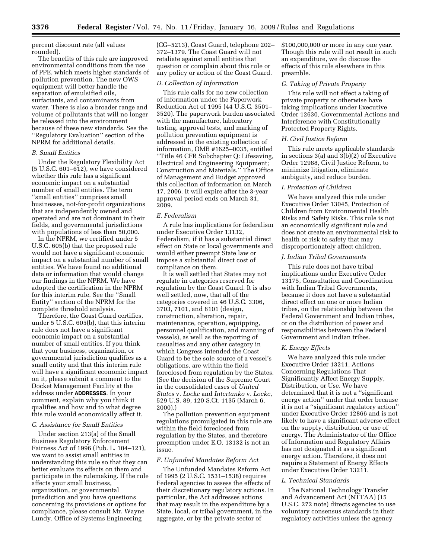percent discount rate (all values rounded).

The benefits of this rule are improved environmental conditions from the use of PPE, which meets higher standards of pollution prevention. The new OWS equipment will better handle the separation of emulsified oils, surfactants, and contaminants from water. There is also a broader range and volume of pollutants that will no longer be released into the environment because of these new standards. See the ''Regulatory Evaluation'' section of the NPRM for additional details.

## *B. Small Entities*

Under the Regulatory Flexibility Act (5 U.S.C. 601–612), we have considered whether this rule has a significant economic impact on a substantial number of small entities. The term ''small entities'' comprises small businesses, not-for-profit organizations that are independently owned and operated and are not dominant in their fields, and governmental jurisdictions with populations of less than 50,000.

In the NPRM, we certified under 5 U.S.C. 605(b) that the proposed rule would not have a significant economic impact on a substantial number of small entities. We have found no additional data or information that would change our findings in the NPRM. We have adopted the certification in the NPRM for this interim rule. See the ''Small Entity'' section of the NPRM for the complete threshold analysis.

Therefore, the Coast Guard certifies, under 5 U.S.C. 605(b), that this interim rule does not have a significant economic impact on a substantial number of small entities. If you think that your business, organization, or governmental jurisdiction qualifies as a small entity and that this interim rule will have a significant economic impact on it, please submit a comment to the Docket Management Facility at the address under **ADDRESSES**. In your comment, explain why you think it qualifies and how and to what degree this rule would economically affect it.

#### *C. Assistance for Small Entities*

Under section 213(a) of the Small Business Regulatory Enforcement Fairness Act of 1996 (Pub. L. 104–121), we want to assist small entities in understanding this rule so that they can better evaluate its effects on them and participate in the rulemaking. If the rule affects your small business, organization, or governmental jurisdiction and you have questions concerning its provisions or options for compliance, please consult Mr. Wayne Lundy, Office of Systems Engineering

(CG–5213), Coast Guard, telephone 202– 372–1379. The Coast Guard will not retaliate against small entities that question or complain about this rule or any policy or action of the Coast Guard.

### *D. Collection of Information*

This rule calls for no new collection of information under the Paperwork Reduction Act of 1995 (44 U.S.C. 3501– 3520). The paperwork burden associated with the manufacture, laboratory testing, approval tests, and marking of pollution prevention equipment is addressed in the existing collection of information, OMB #1625–0035, entitled ''Title 46 CFR Subchapter Q: Lifesaving, Electrical and Engineering Equipment; Construction and Materials.'' The Office of Management and Budget approved this collection of information on March 17, 2006. It will expire after the 3-year approval period ends on March 31, 2009.

## *E. Federalism*

A rule has implications for federalism under Executive Order 13132, Federalism, if it has a substantial direct effect on State or local governments and would either preempt State law or impose a substantial direct cost of compliance on them.

It is well settled that States may not regulate in categories reserved for regulation by the Coast Guard. It is also well settled, now, that all of the categories covered in 46 U.S.C. 3306, 3703, 7101, and 8101 (design, construction, alteration, repair, maintenance, operation, equipping, personnel qualification, and manning of vessels), as well as the reporting of casualties and any other category in which Congress intended the Coast Guard to be the sole source of a vessel's obligations, are within the field foreclosed from regulation by the States. (See the decision of the Supreme Court in the consolidated cases of *United States* v. *Locke* and *Intertanko* v. *Locke*, 529 U.S. 89, 120 S.Ct. 1135 (March 6, 2000).)

The pollution prevention equipment regulations promulgated in this rule are within the field foreclosed from regulation by the States, and therefore preemption under E.O. 13132 is not an issue.

#### *F. Unfunded Mandates Reform Act*

The Unfunded Mandates Reform Act of 1995 (2 U.S.C. 1531–1538) requires Federal agencies to assess the effects of their discretionary regulatory actions. In particular, the Act addresses actions that may result in the expenditure by a State, local, or tribal government, in the aggregate, or by the private sector of

\$100,000,000 or more in any one year. Though this rule will not result in such an expenditure, we do discuss the effects of this rule elsewhere in this preamble.

## *G. Taking of Private Property*

This rule will not effect a taking of private property or otherwise have taking implications under Executive Order 12630, Governmental Actions and Interference with Constitutionally Protected Property Rights.

#### *H. Civil Justice Reform*

This rule meets applicable standards in sections 3(a) and 3(b)(2) of Executive Order 12988, Civil Justice Reform, to minimize litigation, eliminate ambiguity, and reduce burden.

## *I. Protection of Children*

We have analyzed this rule under Executive Order 13045, Protection of Children from Environmental Health Risks and Safety Risks. This rule is not an economically significant rule and does not create an environmental risk to health or risk to safety that may disproportionately affect children.

#### *J. Indian Tribal Governments*

This rule does not have tribal implications under Executive Order 13175, Consultation and Coordination with Indian Tribal Governments, because it does not have a substantial direct effect on one or more Indian tribes, on the relationship between the Federal Government and Indian tribes, or on the distribution of power and responsibilities between the Federal Government and Indian tribes.

#### *K. Energy Effects*

We have analyzed this rule under Executive Order 13211, Actions Concerning Regulations That Significantly Affect Energy Supply, Distribution, or Use. We have determined that it is not a ''significant energy action'' under that order because it is not a ''significant regulatory action'' under Executive Order 12866 and is not likely to have a significant adverse effect on the supply, distribution, or use of energy. The Administrator of the Office of Information and Regulatory Affairs has not designated it as a significant energy action. Therefore, it does not require a Statement of Energy Effects under Executive Order 13211.

#### *L. Technical Standards*

The National Technology Transfer and Advancement Act (NTTAA) (15 U.S.C. 272 note) directs agencies to use voluntary consensus standards in their regulatory activities unless the agency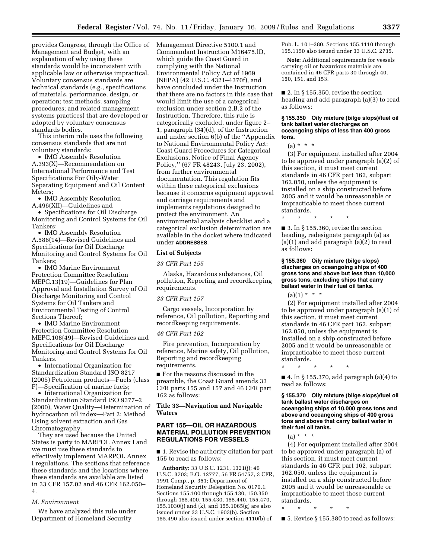provides Congress, through the Office of Management and Budget, with an explanation of why using these standards would be inconsistent with applicable law or otherwise impractical. Voluntary consensus standards are technical standards (e.g., specifications of materials, performance, design, or operation; test methods; sampling procedures; and related management systems practices) that are developed or adopted by voluntary consensus standards bodies.

This interim rule uses the following consensus standards that are not voluntary standards:

• IMO Assembly Resolution A.393(X)—Recommendation on International Performance and Test Specifications For Oily-Water Separating Equipment and Oil Content Meters:

• IMO Assembly Resolution A.496(XII)—Guidelines and

• Specifications for Oil Discharge Monitoring and Control Systems for Oil Tankers;

• IMO Assembly Resolution A.586(14)—Revised Guidelines and Specifications for Oil Discharge Monitoring and Control Systems for Oil Tankers;

• IMO Marine Environment Protection Committee Resolution MEPC.13(19)—Guidelines for Plan Approval and Installation Survey of Oil Discharge Monitoring and Control Systems for Oil Tankers and Environmental Testing of Control Sections Thereof;

• IMO Marine Environment Protection Committee Resolution MEPC.108(49)—Revised Guidelines and Specifications for Oil Discharge Monitoring and Control Systems for Oil Tankers.

• International Organization for Standardization Standard ISO 8217 (2005) Petroleum products—Fuels (class F)—Specification of marine fuels;

• International Organization for Standardization Standard ISO 9377–2 (2000), Water Quality—Determination of hydrocarbon oil index—Part 2: Method Using solvent extraction and Gas Chromatography.

They are used because the United States is party to MARPOL Annex I and we must use these standards to effectively implement MARPOL Annex I regulations. The sections that reference these standards and the locations where these standards are available are listed in 33 CFR 157.02 and 46 CFR 162.050– 4.

#### *M. Environment*

We have analyzed this rule under Department of Homeland Security

Management Directive 5100.1 and Commandant Instruction M16475.lD, which guide the Coast Guard in complying with the National Environmental Policy Act of 1969 (NEPA) (42 U.S.C. 4321–4370f), and have concluded under the Instruction that there are no factors in this case that would limit the use of a categorical exclusion under section 2.B.2 of the Instruction. Therefore, this rule is categorically excluded, under figure 2– 1, paragraph (34)(d), of the Instruction and under section 6(b) of the ''Appendix to National Environmental Policy Act: Coast Guard Procedures for Categorical Exclusions, Notice of Final Agency Policy,'' (67 FR 48243, July 23, 2002), from further environmental documentation. This regulation fits within these categorical exclusions because it concerns equipment approval and carriage requirements and implements regulations designed to protect the environment. An environmental analysis checklist and a categorical exclusion determination are available in the docket where indicated under **ADDRESSES**.

#### **List of Subjects**

#### *33 CFR Part 155*

Alaska, Hazardous substances, Oil pollution, Reporting and recordkeeping requirements.

#### *33 CFR Part 157*

Cargo vessels, Incorporation by reference, Oil pollution, Reporting and recordkeeping requirements.

#### *46 CFR Part 162*

Fire prevention, Incorporation by reference, Marine safety, Oil pollution, Reporting and recordkeeping requirements.

■ For the reasons discussed in the preamble, the Coast Guard amends 33 CFR parts 155 and 157 and 46 CFR part 162 as follows:

**Title 33—Navigation and Navigable Waters** 

## **PART 155—OIL OR HAZARDOUS MATERIAL POLLUTION PREVENTION REGULATIONS FOR VESSELS**

■ 1. Revise the authority citation for part 155 to read as follows:

**Authority:** 33 U.S.C. 1231, 1321(j); 46 U.S.C. 3703; E.O. 12777, 56 FR 54757, 3 CFR, 1991 Comp., p. 351; Department of Homeland Security Delegation No. 0170.1. Sections 155.100 through 155.130, 150.350 through 155.400, 155.430, 155.440, 155.470, 155.1030(j) and (k), and 155.1065(g) are also issued under 33 U.S.C. 1903(b). Section 155.490 also issued under section 4110(b) of

Pub. L. 101–380. Sections 155.1110 through 155.1150 also issued under 33 U.S.C. 2735.

**Note:** Additional requirements for vessels carrying oil or hazardous materials are contained in 46 CFR parts 30 through 40, 150, 151, and 153.

 $\blacksquare$  2. In § 155.350, revise the section heading and add paragraph (a)(3) to read as follows:

#### **§ 155.350 Oily mixture (bilge slops)/fuel oil tank ballast water discharges on oceangoing ships of less than 400 gross tons.**

(a) \* \* \*

(3) For equipment installed after 2004 to be approved under paragraph (a)(2) of this section, it must meet current standards in 46 CFR part 162, subpart 162.050, unless the equipment is installed on a ship constructed before 2005 and it would be unreasonable or impracticable to meet those current standards.

\* \* \* \* \*

■ 3. In § 155.360, revise the section heading, redesignate paragraph (a) as (a)(1) and add paragraph (a)(2) to read as follows:

#### **§ 155.360 Oily mixture (bilge slops) discharges on oceangoing ships of 400 gross tons and above but less than 10,000 gross tons, excluding ships that carry ballast water in their fuel oil tanks.**

 $(a)(1) * * * *$ 

(2) For equipment installed after 2004 to be approved under paragraph (a)(1) of this section, it must meet current standards in 46 CFR part 162, subpart 162.050, unless the equipment is installed on a ship constructed before 2005 and it would be unreasonable or impracticable to meet those current standards.

 $\blacksquare$  4. In § 155.370, add paragraph (a)(4) to read as follows:

\* \* \* \* \*

**§ 155.370 Oily mixture (bilge slops)/fuel oil tank ballast water discharges on oceangoing ships of 10,000 gross tons and above and oceangoing ships of 400 gross tons and above that carry ballast water in their fuel oil tanks.** 

 $(a) * * * *$ 

(4) For equipment installed after 2004 to be approved under paragraph (a) of this section, it must meet current standards in 46 CFR part 162, subpart 162.050, unless the equipment is installed on a ship constructed before 2005 and it would be unreasonable or impracticable to meet those current standards.

\* \* \* \* \*

■ 5. Revise § 155.380 to read as follows: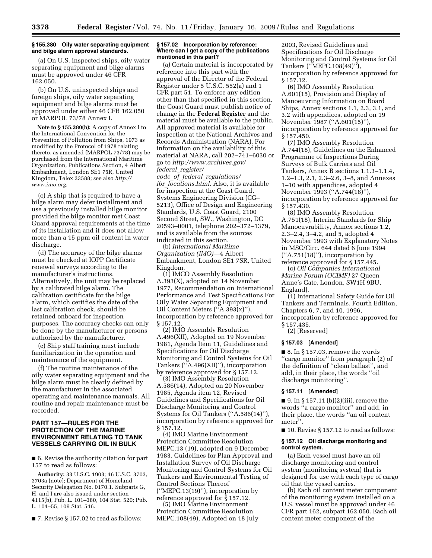#### **§ 155.380 Oily water separating equipment and bilge alarm approval standards.**

(a) On U.S. inspected ships, oily water separating equipment and bilge alarms must be approved under 46 CFR 162.050.

(b) On U.S. uninspected ships and foreign ships, oily water separating equipment and bilge alarms must be approved under either 46 CFR 162.050 or MARPOL 73/78 Annex I.

**Note to § 155.380(b):** A copy of Annex I to the International Convention for the Prevention of Pollution from Ships, 1973 as modified by the Protocol of 1978 relating thereto, as amended (MARPOL 73/78) may be purchased from the International Maritime Organization, Publications Section, 4 Albert Embankment, London SE1 75R, United Kingdom, Telex 23588; see also *http:// www.imo.org.* 

(c) A ship that is required to have a bilge alarm may defer installment and use a previously installed bilge monitor provided the bilge monitor met Coast Guard approval requirements at the time of its installation and it does not allow more than a 15 ppm oil content in water discharge.

(d) The accuracy of the bilge alarms must be checked at IOPP Certificate renewal surveys according to the manufacturer's instructions. Alternatively, the unit may be replaced by a calibrated bilge alarm. The calibration certificate for the bilge alarm, which certifies the date of the last calibration check, should be retained onboard for inspection purposes. The accuracy checks can only be done by the manufacturer or persons authorized by the manufacturer.

(e) Ship staff training must include familiarization in the operation and maintenance of the equipment.

(f) The routine maintenance of the oily water separating equipment and the bilge alarm must be clearly defined by the manufacturer in the associated operating and maintenance manuals. All routine and repair maintenance must be recorded.

## **PART 157—RULES FOR THE PROTECTION OF THE MARINE ENVIRONMENT RELATING TO TANK VESSELS CARRYING OIL IN BULK**

■ 6. Revise the authority citation for part 157 to read as follows:

**Authority:** 33 U.S.C. 1903; 46 U.S.C. 3703, 3703a (note); Department of Homeland Security Delegation No. 0170.1. Subparts G, H, and I are also issued under section 4115(b), Pub. L. 101–380, 104 Stat. 520; Pub. L. 104–55, 109 Stat. 546.

■ 7. Revise § 157.02 to read as follows:

#### **§ 157.02 Incorporation by reference: Where can I get a copy of the publications mentioned in this part?**

(a) Certain material is incorporated by reference into this part with the approval of the Director of the Federal Register under 5 U.S.C. 552(a) and 1 CFR part 51. To enforce any edition other than that specified in this section, the Coast Guard must publish notice of change in the **Federal Register** and the material must be available to the public. All approved material is available for inspection at the National Archives and Records Administration (NARA). For information on the availability of this material at NARA, call 202–741–6030 or go to *http://www.archives.gov/ federal*\_*register/* 

*code*\_*of*\_*federal*\_*regulations/ ibr*\_*locations.html*. Also, it is available for inspection at the Coast Guard, Systems Engineering Division (CG– 5213), Office of Design and Engineering Standards, U.S. Coast Guard, 2100 Second Street, SW., Washington, DC 20593–0001, telephone 202–372–1379, and is available from the sources indicated in this section.

(b) *International Maritime Organization (IMO)*—4 Albert Embankment, London SE1 7SR, United Kingdom.

(1) IMCO Assembly Resolution A.393(X), adopted on 14 November 1977, Recommendation on International Performance and Test Specifications For Oily Water Separating Equipment and Oil Content Meters (''A.393(x)''), incorporation by reference approved for § 157.12.

(2) IMO Assembly Resolution A.496(XII), Adopted on 19 November 1981, Agenda Item 11, Guidelines and Specifications for Oil Discharge Monitoring and Control Systems for Oil Tankers (''A.496(XII)''), incorporation by reference approved for § 157.12.

(3) IMO Assembly Resolution A.586(14), Adopted on 20 November 1985, Agenda item 12, Revised Guidelines and Specifications for Oil Discharge Monitoring and Control Systems for Oil Tankers (''A.586(14)''), incorporation by reference approved for § 157.12.

(4) IMO Marine Environment Protection Committee Resolution MEPC.13 (19), adopted on 9 December 1983, Guidelines for Plan Approval and Installation Survey of Oil Discharge Monitoring and Control Systems for Oil Tankers and Environmental Testing of Control Sections Thereof (''MEPC.13(19)''), incorporation by reference approved for § 157.12.

(5) IMO Marine Environment Protection Committee Resolution MEPC.108(49), Adopted on 18 July

2003, Revised Guidelines and Specifications for Oil Discharge Monitoring and Control Systems for Oil Tankers (''MEPC.108(49)''), incorporation by reference approved for § 157.12.

(6) IMO Assembly Resolution A.601(15), Provision and Display of Manoeuvring Information on Board Ships, Annex sections 1.1, 2.3, 3.1, and 3.2 with appendices, adopted on 19 November 1987 ("A.601(15)"), incorporation by reference approved for § 157.450.

(7) IMO Assembly Resolution A.744(18), Guidelines on the Enhanced Programme of Inspections During Surveys of Bulk Carriers and Oil Tankers, Annex B sections 1.1.3–1.1.4, 1.2–1.3, 2.1, 2.3–2.6, 3–8, and Annexes 1–10 with appendices, adopted 4 November 1993 (''A.744(18)''), incorporation by reference approved for § 157.430.

(8) IMO Assembly Resolution A.751(18), Interim Standards for Ship Manoeuvrability, Annex sections 1.2, 2.3–2.4, 3–4.2, and 5, adopted 4 November 1993 with Explanatory Notes in MSC/Circ. 644 dated 6 June 1994  $('A.751(18)$ <sup>"</sup>), incorporation by reference approved for § 157.445.

(c) *Oil Companies International Marine Forum (OCIMF)* 27 Queen Anne's Gate, London, SW1H 9BU, England].

(1) International Safety Guide for Oil Tankers and Terminals, Fourth Edition, Chapters 6, 7, and 10, 1996, incorporation by reference approved for § 157.435.

(2) [Reserved]

#### **§ 157.03 [Amended]**

 $\blacksquare$  8. In § 157.03, remove the words ''cargo monitor'' from paragraph (2) of the definition of ''clean ballast'', and add, in their place, the words ''oil discharge monitoring''.

#### **§ 157.11 [Amended]**

 $\blacksquare$  9. In § 157.11 (b)(2)(iii), remove the words ''a cargo monitor'' and add, in their place, the words ''an oil content meter''.

■ 10. Revise § 157.12 to read as follows:

#### **§ 157.12 Oil discharge monitoring and control system.**

(a) Each vessel must have an oil discharge monitoring and control system (monitoring system) that is designed for use with each type of cargo oil that the vessel carries.

(b) Each oil content meter component of the monitoring system installed on a U.S. vessel must be approved under 46 CFR part 162, subpart 162.050. Each oil content meter component of the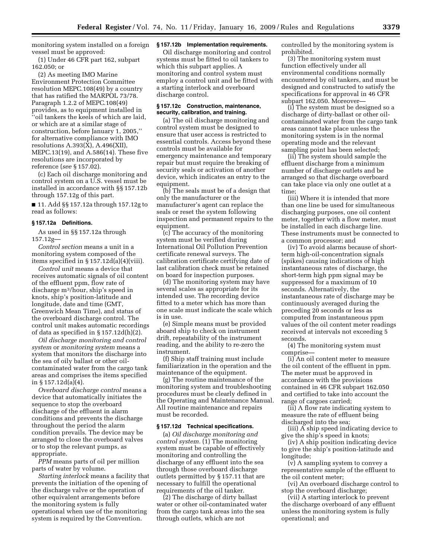monitoring system installed on a foreign vessel must be approved:

(1) Under 46 CFR part 162, subpart 162.050; or

(2) As meeting IMO Marine Environment Protection Committee resolution MEPC.108(49) by a country that has ratified the MARPOL 73/78. Paragraph 1.2.2 of MEPC.108(49) provides, as to equipment installed in ''oil tankers the keels of which are laid, or which are at a similar stage of construction, before January 1, 2005,'' for alternative compliance with IMO resolutions A.393(X), A.496(XII), MEPC.13(19), and A.586(14). These five resolutions are incorporated by reference (*see* § 157.02).

(c) Each oil discharge monitoring and control system on a U.S. vessel must be installed in accordance with §§ 157.12b through 157.12g of this part.

■ 11. Add §§ 157.12a through 157.12g to read as follows:

#### **§ 157.12a Definitions.**

As used in §§ 157.12a through 157.12g—

*Control section* means a unit in a monitoring system composed of the items specified in § 157.12d(a)(4)(viii).

*Control unit* means a device that receives automatic signals of oil content of the effluent ppm, flow rate of discharge m3/hour, ship's speed in knots, ship's position-latitude and longitude, date and time (GMT, Greenwich Mean Time), and status of the overboard discharge control. The control unit makes automatic recordings of data as specified in  $\S 157.12d(h)(2)$ .

*Oil discharge monitoring and control system* or *monitoring system* means a system that monitors the discharge into the sea of oily ballast or other oilcontaminated water from the cargo tank areas and comprises the items specified in § 157.12d(a)(4).

*Overboard discharge control* means a device that automatically initiates the sequence to stop the overboard discharge of the effluent in alarm conditions and prevents the discharge throughout the period the alarm condition prevails. The device may be arranged to close the overboard valves or to stop the relevant pumps, as appropriate.

*PPM* means parts of oil per million parts of water by volume.

*Starting interlock* means a facility that prevents the initiation of the opening of the discharge valve or the operation of other equivalent arrangements before the monitoring system is fully operational when use of the monitoring system is required by the Convention.

#### **§ 157.12b Implementation requirements.**

Oil discharge monitoring and control systems must be fitted to oil tankers to which this subpart applies. A monitoring and control system must employ a control unit and be fitted with a starting interlock and overboard discharge control.

#### **§ 157.12c Construction, maintenance, security, calibration, and training.**

(a) The oil discharge monitoring and control system must be designed to ensure that user access is restricted to essential controls. Access beyond these controls must be available for emergency maintenance and temporary repair but must require the breaking of security seals or activation of another device, which indicates an entry to the equipment.

(b) The seals must be of a design that only the manufacturer or the manufacturer's agent can replace the seals or reset the system following inspection and permanent repairs to the equipment.

(c) The accuracy of the monitoring system must be verified during International Oil Pollution Prevention certificate renewal surveys. The calibration certificate certifying date of last calibration check must be retained on board for inspection purposes.

(d) The monitoring system may have several scales as appropriate for its intended use. The recording device fitted to a meter which has more than one scale must indicate the scale which is in use.

(e) Simple means must be provided aboard ship to check on instrument drift, repeatability of the instrument reading, and the ability to re-zero the instrument.

(f) Ship staff training must include familiarization in the operation and the maintenance of the equipment.

(g) The routine maintenance of the monitoring system and troubleshooting procedures must be clearly defined in the Operating and Maintenance Manual. All routine maintenance and repairs must be recorded.

#### **§ 157.12d Technical specifications.**

(a) *Oil discharge monitoring and control system.* (1) The monitoring system must be capable of effectively monitoring and controlling the discharge of any effluent into the sea through those overboard discharge outlets permitted by § 157.11 that are necessary to fulfill the operational requirements of the oil tanker.

(2) The discharge of dirty ballast water or other oil-contaminated water from the cargo tank areas into the sea through outlets, which are not

controlled by the monitoring system is prohibited.

(3) The monitoring system must function effectively under all environmental conditions normally encountered by oil tankers, and must be designed and constructed to satisfy the specifications for approval in 46 CFR subpart 162.050. Moreover—

(i) The system must be designed so a discharge of dirty-ballast or other oilcontaminated water from the cargo tank areas cannot take place unless the monitoring system is in the normal operating mode and the relevant sampling point has been selected;

(ii) The system should sample the effluent discharge from a minimum number of discharge outlets and be arranged so that discharge overboard can take place via only one outlet at a time;

(iii) Where it is intended that more than one line be used for simultaneous discharging purposes, one oil content meter, together with a flow meter, must be installed in each discharge line. These instruments must be connected to a common processor; and

(iv) To avoid alarms because of shortterm high-oil-concentration signals (spikes) causing indications of high instantaneous rates of discharge, the short-term high ppm signal may be suppressed for a maximum of 10 seconds. Alternatively, the instantaneous rate of discharge may be continuously averaged during the preceding 20 seconds or less as computed from instantaneous ppm values of the oil content meter readings received at intervals not exceeding 5 seconds.

(4) The monitoring system must comprise—

(i) An oil content meter to measure the oil content of the effluent in ppm. The meter must be approved in accordance with the provisions contained in 46 CFR subpart 162.050 and certified to take into account the range of cargoes carried;

(ii) A flow rate indicating system to measure the rate of effluent being discharged into the sea;

(iii) A ship speed indicating device to give the ship's speed in knots;

(iv) A ship position indicating device to give the ship's position-latitude and longitude;

(v) A sampling system to convey a representative sample of the effluent to the oil content meter;

(vi) An overboard discharge control to stop the overboard discharge;

(vii) A starting interlock to prevent the discharge overboard of any effluent unless the monitoring system is fully operational; and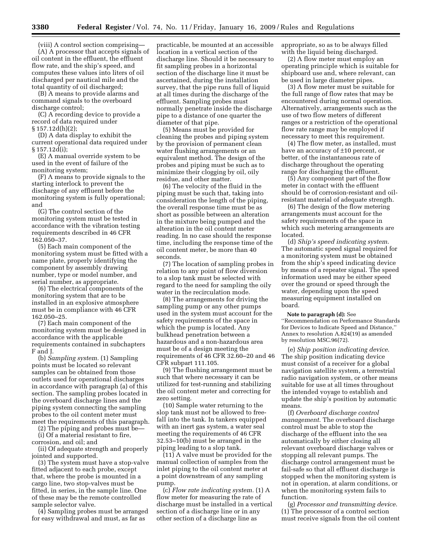(viii) A control section comprising— (A) A processor that accepts signals of oil content in the effluent, the effluent flow rate, and the ship's speed, and computes these values into liters of oil discharged per nautical mile and the total quantity of oil discharged;

(B) A means to provide alarms and command signals to the overboard discharge control;

(C) A recording device to provide a record of data required under § 157.12d(h)(2);

(D) A data display to exhibit the current operational data required under § 157.12d(i);

(E) A manual override system to be used in the event of failure of the monitoring system;

(F) A means to provide signals to the starting interlock to prevent the discharge of any effluent before the monitoring system is fully operational; and

(G) The control section of the monitoring system must be tested in accordance with the vibration testing requirements described in 46 CFR 162.050–37.

(5) Each main component of the monitoring system must be fitted with a name plate, properly identifying the component by assembly drawing number, type or model number, and serial number, as appropriate.

(6) The electrical components of the monitoring system that are to be installed in an explosive atmosphere must be in compliance with 46 CFR 162.050–25.

(7) Each main component of the monitoring system must be designed in accordance with the applicable requirements contained in subchapters F and J.

(b) *Sampling system.* (1) Sampling points must be located so relevant samples can be obtained from those outlets used for operational discharges in accordance with paragraph (a) of this section. The sampling probes located in the overboard discharge lines and the piping system connecting the sampling probes to the oil content meter must meet the requirements of this paragraph.

(2) The piping and probes must be—

(i) Of a material resistant to fire,

corrosion, and oil; and

(ii) Of adequate strength and properly jointed and supported.

(3) The system must have a stop-valve fitted adjacent to each probe, except that, where the probe is mounted in a cargo line, two stop-valves must be fitted, in series, in the sample line. One of these may be the remote controlled sample selector valve.

(4) Sampling probes must be arranged for easy withdrawal and must, as far as

practicable, be mounted at an accessible location in a vertical section of the discharge line. Should it be necessary to fit sampling probes in a horizontal section of the discharge line it must be ascertained, during the installation survey, that the pipe runs full of liquid at all times during the discharge of the effluent. Sampling probes must normally penetrate inside the discharge pipe to a distance of one quarter the diameter of that pipe.

(5) Means must be provided for cleaning the probes and piping system by the provision of permanent clean water flushing arrangements or an equivalent method. The design of the probes and piping must be such as to minimize their clogging by oil, oily residue, and other matter.

(6) The velocity of the fluid in the piping must be such that, taking into consideration the length of the piping, the overall response time must be as short as possible between an alteration in the mixture being pumped and the alteration in the oil content meter reading. In no case should the response time, including the response time of the oil content meter, be more than 40 seconds.

(7) The location of sampling probes in relation to any point of flow diversion to a slop tank must be selected with regard to the need for sampling the oily water in the recirculation mode.

(8) The arrangements for driving the sampling pump or any other pumps used in the system must account for the safety requirements of the space in which the pump is located. Any bulkhead penetration between a hazardous and a non-hazardous area must be of a design meeting the requirements of 46 CFR 32.60–20 and 46 CFR subpart 111.105.

(9) The flushing arrangement must be such that where necessary it can be utilized for test-running and stabilizing the oil content meter and correcting for zero setting.

(10) Sample water returning to the slop tank must not be allowed to freefall into the tank. In tankers equipped with an inert gas system, a water seal meeting the requirements of 46 CFR 32.53–10(b) must be arranged in the piping leading to a slop tank.

(11) A valve must be provided for the manual collection of samples from the inlet piping to the oil content meter at a point downstream of any sampling pump.

(c) *Flow rate indicating system.* (1) A flow meter for measuring the rate of discharge must be installed in a vertical section of a discharge line or in any other section of a discharge line as

appropriate, so as to be always filled with the liquid being discharged.

(2) A flow meter must employ an operating principle which is suitable for shipboard use and, where relevant, can be used in large diameter pipes.

(3) A flow meter must be suitable for the full range of flow rates that may be encountered during normal operation. Alternatively, arrangements such as the use of two flow meters of different ranges or a restriction of the operational flow rate range may be employed if necessary to meet this requirement.

(4) The flow meter, as installed, must have an accuracy of ±10 percent, or better, of the instantaneous rate of discharge throughout the operating range for discharging the effluent.

(5) Any component part of the flow meter in contact with the effluent should be of corrosion-resistant and oilresistant material of adequate strength.

(6) The design of the flow metering arrangements must account for the safety requirements of the space in which such metering arrangements are located.

(d) *Ship's speed indicating system*. The automatic speed signal required for a monitoring system must be obtained from the ship's speed indicating device by means of a repeater signal. The speed information used may be either speed over the ground or speed through the water, depending upon the speed measuring equipment installed on board.

**Note to paragraph (d):** See

''Recommendation on Performance Standards for Devices to Indicate Speed and Distance,'' Annex to resolution A.824(19) as amended by resolution MSC.96(72).

(e) *Ship position indicating device*. The ship position indicating device must consist of a receiver for a global navigation satellite system, a terrestrial radio navigation system, or other means suitable for use at all times throughout the intended voyage to establish and update the ship's position by automatic means.

(f) *Overboard discharge control management*. The overboard discharge control must be able to stop the discharge of the effluent into the sea automatically by either closing all relevant overboard discharge valves or stopping all relevant pumps. The discharge control arrangement must be fail-safe so that all effluent discharge is stopped when the monitoring system is not in operation, at alarm conditions, or when the monitoring system fails to function.

(g) *Processor and transmitting device*. (1) The processor of a control section must receive signals from the oil content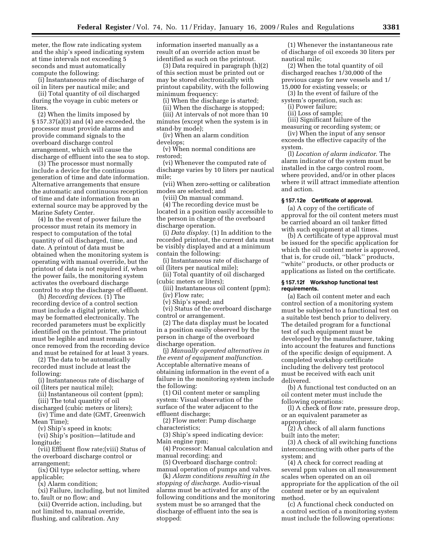meter, the flow rate indicating system and the ship's speed indicating system at time intervals not exceeding 5 seconds and must automatically compute the following:

(i) Instantaneous rate of discharge of oil in liters per nautical mile; and

(ii) Total quantity of oil discharged during the voyage in cubic meters or liters.

(2) When the limits imposed by § 157.37(a)(3) and (4) are exceeded, the processor must provide alarms and provide command signals to the overboard discharge control arrangement, which will cause the discharge of effluent into the sea to stop.

(3) The processor must normally include a device for the continuous generation of time and date information. Alternative arrangements that ensure the automatic and continuous reception of time and date information from an external source may be approved by the Marine Safety Center.

(4) In the event of power failure the processor must retain its memory in respect to computation of the total quantity of oil discharged, time, and date. A printout of data must be obtained when the monitoring system is operating with manual override, but the printout of data is not required if, when the power fails, the monitoring system activates the overboard discharge control to stop the discharge of effluent.

(h) *Recording devices*. (1) The recording device of a control section must include a digital printer, which may be formatted electronically. The recorded parameters must be explicitly identified on the printout. The printout must be legible and must remain so once removed from the recording device and must be retained for at least 3 years.

(2) The data to be automatically recorded must include at least the following:

(i) Instantaneous rate of discharge of oil (liters per nautical mile);

- (ii) Instantaneous oil content (ppm); (iii) The total quantity of oil
- discharged (cubic meters or liters); (iv) Time and date (GMT, Greenwich

Mean Time);

(v) Ship's speed in knots;

(vi) Ship's position—latitude and longitude;

(vii) Effluent flow rate;(viii) Status of the overboard discharge control or arrangement;

(ix) Oil type selector setting, where applicable;

(x) Alarm condition;

(xi) Failure, including, but not limited to, fault or no flow; and

(xii) Override action, including, but not limited to, manual override, flushing, and calibration. Any

information inserted manually as a result of an override action must be identified as such on the printout.

(3) Data required in paragraph (h)(2) of this section must be printed out or may be stored electronically with printout capability, with the following minimum frequency:

(i) When the discharge is started;

(ii) When the discharge is stopped;

(iii) At intervals of not more than 10 minutes (except when the system is in stand-by mode);

(iv) When an alarm condition

develops; (v) When normal conditions are

restored;

(vi) Whenever the computed rate of discharge varies by 10 liters per nautical mile;

(vii) When zero-setting or calibration modes are selected; and

(viii) On manual command.

(4) The recording device must be located in a position easily accessible to the person in charge of the overboard discharge operation.

(i) *Data display*. (1) In addition to the recorded printout, the current data must be visibly displayed and at a minimum contain the following:

(i) Instantaneous rate of discharge of oil (liters per nautical mile);

(ii) Total quantity of oil discharged (cubic meters or liters);

(iii) Instantaneous oil content (ppm); (iv) Flow rate;

(v) Ship's speed; and

(vi) Status of the overboard discharge control or arrangement.

(2) The data display must be located in a position easily observed by the person in charge of the overboard discharge operation.

(j) *Manually operated alternatives in the event of equipment malfunction*. Acceptable alternative means of obtaining information in the event of a failure in the monitoring system include the following:

(1) Oil content meter or sampling system: Visual observation of the surface of the water adjacent to the effluent discharge;

(2) Flow meter: Pump discharge characteristics;

(3) Ship's speed indicating device: Main engine rpm;

(4) Processor: Manual calculation and manual recording; and

(5) Overboard discharge control: manual operation of pumps and valves.

(k) *Alarm conditions resulting in the stopping of discharge*. Audio-visual alarms must be activated for any of the following conditions and the monitoring system must be so arranged that the discharge of effluent into the sea is stopped:

(1) Whenever the instantaneous rate of discharge of oil exceeds 30 liters per nautical mile;

(2) When the total quantity of oil discharged reaches 1/30,000 of the previous cargo for new vessels and 1/ 15,000 for existing vessels; or

(3) In the event of failure of the system's operation, such as:

(i) Power failure;

(ii) Loss of sample;

(iii) Significant failure of the measuring or recording system; or

(iv) When the input of any sensor

exceeds the effective capacity of the system.

(l) *Location of alarm indicator*. The alarm indicator of the system must be installed in the cargo control room, where provided, and/or in other places where it will attract immediate attention and action.

## **§ 157.12e Certificate of approval.**

(a) A copy of the certificate of approval for the oil content meters must be carried aboard an oil tanker fitted with such equipment at all times.

(b) A certificate of type approval must be issued for the specific application for which the oil content meter is approved, that is, for crude oil, ''black'' products, ''white'' products, or other products or applications as listed on the certificate.

#### **§ 157.12f Workshop functional test requirements.**

(a) Each oil content meter and each control section of a monitoring system must be subjected to a functional test on a suitable test bench prior to delivery. The detailed program for a functional test of such equipment must be developed by the manufacturer, taking into account the features and functions of the specific design of equipment. A completed workshop certificate including the delivery test protocol must be received with each unit delivered.

(b) A functional test conducted on an oil content meter must include the following operations:

(l) A check of flow rate, pressure drop, or an equivalent parameter as appropriate;

(2) A check of all alarm functions built into the meter;

(3) A check of all switching functions interconnecting with other parts of the system; and

(4) A check for correct reading at several ppm values on all measurement scales when operated on an oil appropriate for the application of the oil content meter or by an equivalent method.

(c) A functional check conducted on a control section of a monitoring system must include the following operations: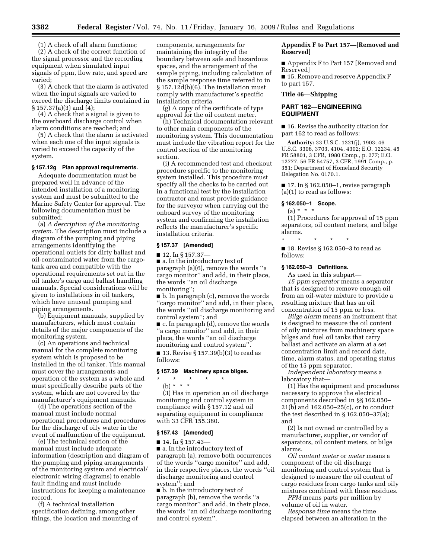(1) A check of all alarm functions; (2) A check of the correct function of the signal processor and the recording equipment when simulated input signals of ppm, flow rate, and speed are varied;

(3) A check that the alarm is activated when the input signals are varied to exceed the discharge limits contained in § 157.37(a)(3) and (4);

(4) A check that a signal is given to the overboard discharge control when alarm conditions are reached; and

(5) A check that the alarm is activated when each one of the input signals is varied to exceed the capacity of the system.

#### **§ 157.12g Plan approval requirements.**

Adequate documentation must be prepared well in advance of the intended installation of a monitoring system and must be submitted to the Marine Safety Center for approval. The following documentation must be submitted:

(a) *A description of the monitoring system*. The description must include a diagram of the pumping and piping arrangements identifying the operational outlets for dirty ballast and oil-contaminated water from the cargotank area and compatible with the operational requirements set out in the oil tanker's cargo and ballast handling manuals. Special considerations will be given to installations in oil tankers, which have unusual pumping and piping arrangements.

(b) Equipment manuals, supplied by manufacturers, which must contain details of the major components of the monitoring system.

(c) An operations and technical manual for the complete monitoring system which is proposed to be installed in the oil tanker. This manual must cover the arrangements and operation of the system as a whole and must specifically describe parts of the system, which are not covered by the manufacturer's equipment manuals.

(d) The operations section of the manual must include normal operational procedures and procedures for the discharge of oily water in the event of malfunction of the equipment.

(e) The technical section of the manual must include adequate information (description and diagram of the pumping and piping arrangements of the monitoring system and electrical/ electronic wiring diagrams) to enable fault finding and must include instructions for keeping a maintenance record.

(f) A technical installation specification defining, among other things, the location and mounting of components, arrangements for maintaining the integrity of the boundary between safe and hazardous spaces, and the arrangement of the sample piping, including calculation of the sample response time referred to in § 157.12d(b)(6). The installation must comply with manufacturer's specific installation criteria.

(g) A copy of the certificate of type approval for the oil content meter.

(h) Technical documentation relevant to other main components of the monitoring system. This documentation must include the vibration report for the control section of the monitoring section.

(i) A recommended test and checkout procedure specific to the monitoring system installed. This procedure must specify all the checks to be carried out in a functional test by the installation contractor and must provide guidance for the surveyor when carrying out the onboard survey of the monitoring system and confirming the installation reflects the manufacturer's specific installation criteria.

#### **§ 157.37 [Amended]**

■ 12. In § 157.37-■ a. In the introductory text of paragraph (a)(6), remove the words ''a cargo monitor'' and add, in their place, the words ''an oil discharge monitoring'';

■ b. In paragraph (c), remove the words ''cargo monitor'' and add, in their place, the words ''oil discharge monitoring and control system''; and

■ c. In paragraph (d), remove the words ''a cargo monitor'' and add, in their place, the words ''an oil discharge monitoring and control system''.

■ 13. Revise § 157.39(b)(3) to read as follows:

## **§ 157.39 Machinery space bilges.**

\* \* \* \* \*

(b) \* \* \* (3) Has in operation an oil discharge monitoring and control system in compliance with § 157.12 and oil separating equipment in compliance with 33 CFR 155.380.

#### **§ 157.43 [Amended]**

 $\blacksquare$  14. In § 157.43-

■ a. In the introductory text of paragraph (a), remove both occurrences of the words ''cargo monitor'' and add, in their respective places, the words ''oil discharge monitoring and control system''; and

■ b. In the introductory text of paragraph (b), remove the words ''a cargo monitor'' and add, in their place, the words ''an oil discharge monitoring and control system''.

## **Appendix F to Part 157—[Removed and Reserved]**

■ Appendix F to Part 157 [Removed and Reserved]

■ 15. Remove and reserve Appendix F to part 157.

#### **Title 46—Shipping**

## **PART 162—ENGINEERING EQUIPMENT**

■ 16. Revise the authority citation for part 162 to read as follows:

**Authority:** 33 U.S.C. 1321(j), 1903; 46 U.S.C. 3306, 3703, 4104, 4302; E.O. 12234, 45 FR 58801, 3 CFR, 1980 Comp., p. 277; E.O. 12777, 56 FR 54757, 3 CFR, 1991 Comp., p. 351; Department of Homeland Security Delegation No. 0170.1.

 $\blacksquare$  17. In § 162.050-1, revise paragraph (a)(1) to read as follows:

#### **§ 162.050–1 Scope.**

 $(a) * * * *$ 

(1) Procedures for approval of 15 ppm separators, oil content meters, and bilge alarms.

\* \* \* \* \* ■ 18. Revise § 162.050-3 to read as follows:

## **§ 162.050–3 Definitions.**

As used in this subpart—

*15 ppm separator* means a separator that is designed to remove enough oil from an oil-water mixture to provide a resulting mixture that has an oil concentration of 15 ppm or less.

*Bilge alarm* means an instrument that is designed to measure the oil content of oily mixtures from machinery space bilges and fuel oil tanks that carry ballast and activate an alarm at a set concentration limit and record date, time, alarm status, and operating status of the 15 ppm separator.

*Independent laboratory* means a laboratory that—

(1) Has the equipment and procedures necessary to approve the electrical components described in §§ 162.050– 21(b) and 162.050–25(c), or to conduct the test described in § 162.050–37(a); and

(2) Is not owned or controlled by a manufacturer, supplier, or vendor of separators, oil content meters, or bilge alarms.

*Oil content meter* or *meter* means a component of the oil discharge monitoring and control system that is designed to measure the oil content of cargo residues from cargo tanks and oily mixtures combined with these residues.

*PPM* means parts per million by volume of oil in water.

*Response time* means the time elapsed between an alteration in the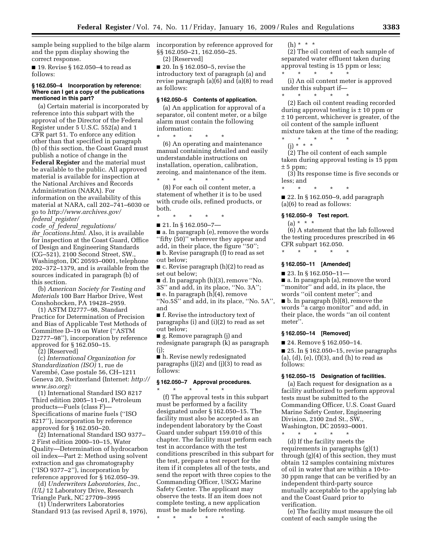sample being supplied to the bilge alarm incorporation by reference approved for and the ppm display showing the correct response.

■ 19. Revise § 162.050–4 to read as follows:

#### **§ 162.050–4 Incorporation by reference: Where can I get a copy of the publications mentioned in this part?**

(a) Certain material is incorporated by reference into this subpart with the approval of the Director of the Federal Register under 5 U.S.C. 552(a) and 1 CFR part 51. To enforce any edition other than that specified in paragraph (b) of this section, the Coast Guard must publish a notice of change in the **Federal Register** and the material must be available to the public. All approved material is available for inspection at the National Archives and Records Administration (NARA). For information on the availability of this material at NARA, call 202–741–6030 or go to *http://www.archives.gov/ federal*\_*register/* 

*code*\_*of*\_*federal*\_*regulations/ ibr*\_*locations.html*. Also, it is available for inspection at the Coast Guard, Office of Design and Engineering Standards (CG–521), 2100 Second Street, SW., Washington, DC 20593–0001, telephone 202–372–1379, and is available from the sources indicated in paragraph (b) of this section.

(b) *American Society for Testing and Materials* 100 Barr Harbor Drive, West Conshohocken, PA 19428–2959.

(1) ASTM D2777–98, Standard Practice for Determination of Precision and Bias of Applicable Test Methods of Committee D–19 on Water (''ASTM D2777–98''), incorporation by reference approved for § 162.050–15.

(2) [Reserved]

(c) *International Organization for Standardization (ISO)* 1, rue de Varembé, Case postale 56, CH-1211 Geneva 20, Switzerland (Internet: *http:// www.iso.org):* 

(1) International Standard ISO 8217 Third edition 2005–11–01, Petroleum products—Fuels (class F)— Specifications of marine fuels (''ISO 8217''), incorporation by reference approved for § 162.050–20.

(2) International Standard ISO 9377– 2 First edition 2000–10–15, Water Quality—Determination of hydrocarbon oil index—Part 2: Method using solvent extraction and gas chromatography (''ISO 9377–2''), incorporation by reference approved for § 162.050–39.

(d) *Underwriters Laboratories, Inc., (UL)* 12 Laboratory Drive, Research Triangle Park, NC 27709–3995

(1) Underwriters Laboratories Standard 913 (as revised April 8, 1976), §§ 162.050–21, 162.050–25. (2) [Reserved]

■ 20. In § 162.050–5, revise the introductory text of paragraph (a) and revise paragraph (a)(6) and (a)(8) to read as follows:

## **§ 162.050–5 Contents of application.**

(a) An application for approval of a separator, oil content meter, or a bilge alarm must contain the following information:

\* \* \* \* \* (6) An operating and maintenance manual containing detailed and easily understandable instructions on installation, operation, calibration, zeroing, and maintenance of the item.

\* \* \* \* \* (8) For each oil content meter, a statement of whether it is to be used with crude oils, refined products, or both.

\* \* \* \* \*

 $\blacksquare$  21. In § 162.050-7-

■ a. In paragraph (e), remove the words ''fifty (50)'' wherever they appear and add, in their place, the figure ''50'';

■ b. Revise paragraph (f) to read as set out below;

■ c. Revise paragraph (h)(2) to read as set out below;

■ d. In paragraph (h)(3), remove ''No. 3S'' and add, in its place, ''No. 3A'';

■ e. In paragraph (h)(4), remove ''No.5S'' and add, in its place, ''No. 5A'', and

■ f. Revise the introductory text of paragraphs (i) and (i)(2) to read as set out below;

■ g. Remove paragraph (j) and redesignate paragraph (k) as paragraph (j);

■ h. Revise newly redesignated paragraphs  $(j)(2)$  and  $(j)(3)$  to read as follows:

#### **§ 162.050–7 Approval procedures.**

\* \* \* \* \*

(f) The approval tests in this subpart must be performed by a facility designated under § 162.050–15. The facility must also be accepted as an independent laboratory by the Coast Guard under subpart 159.010 of this chapter. The facility must perform each test in accordance with the test conditions prescribed in this subpart for the test, prepare a test report for the item if it completes all of the tests, and send the report with three copies to the Commanding Officer, USCG Marine Safety Center. The applicant may observe the tests. If an item does not complete testing, a new application must be made before retesting.

\* \* \* \* \*

(h) \* \* \*

(2) The oil content of each sample of separated water effluent taken during approval testing is 15 ppm or less;

\* \* \* \* \* (i) An oil content meter is approved under this subpart if—

(2) Each oil content reading recorded during approval testing is  $\pm$  10 ppm or ± 10 percent, whichever is greater, of the oil content of the sample influent mixture taken at the time of the reading; \* \* \* \* \*

(j) \* \* \*

\* \* \* \* \*

(2) The oil content of each sample taken during approval testing is 15 ppm  $± 5 ppm;$ 

(3) Its response time is five seconds or less; and

\* \* \* \* \* ■ 22. In § 162.050-9, add paragraph

## (a)(6) to read as follows: **§ 162.050–9 Test report.**

 $(a) * * * *$ 

(6) A statement that the lab followed the testing procedures prescribed in 46 CFR subpart 162.050.

## \* \* \* \* \*

## **§ 162.050–11 [Amended]**

 $\blacksquare$  23. In § 162.050-11-

■ a. In paragraph (a), remove the word ''monitor'' and add, in its place, the words ''oil content meter''; and ■ b. In paragraph (b)(8), remove the words ''a cargo monitor'' and add, in their place, the words ''an oil content meter''.

#### **§ 162.050–14 [Removed]**

■ 24. Remove § 162.050–14.

 $\blacksquare$  25. In § 162.050–15, revise paragraphs (a), (d), (e), (f)(3), and (h) to read as follows:

#### **§ 162.050–15 Designation of facilities.**

(a) Each request for designation as a facility authorized to perform approval tests must be submitted to the Commanding Officer, U.S. Coast Guard Marine Safety Center, Engineering Division, 2100 2nd St., SW., Washington, DC 20593–0001. \* \* \* \* \*

(d) If the facility meets the requirements in paragraphs (g)(1) through (g)(4) of this section, they must obtain 12 samples containing mixtures of oil in water that are within a 10-to-30 ppm range that can be verified by an independent third-party source mutually acceptable to the applying lab and the Coast Guard prior to verification.

(e) The facility must measure the oil content of each sample using the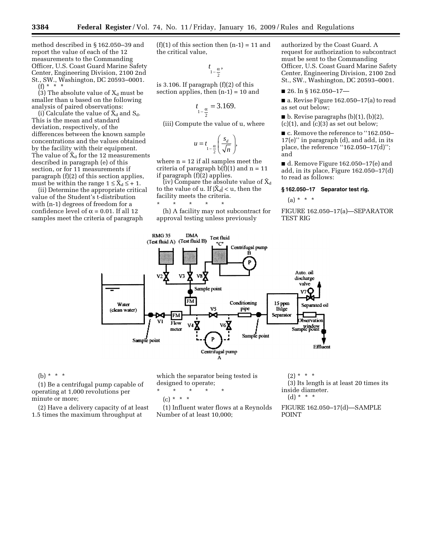method described in § 162.050–39 and report the value of each of the 12 measurements to the Commanding Officer, U.S. Coast Guard Marine Safety Center, Engineering Division, 2100 2nd St., SW., Washington, DC 20593–0001. (f) \* \* \*

(3) The absolute value of  $X_d$  must be smaller than u based on the following analysis of paired observations:

(i) Calculate the value of  $X_d$  and  $S_d$ . This is the mean and standard deviation, respectively, of the differences between the known sample concentrations and the values obtained by the facility with their equipment. The value of  $\bar{X}_d$  for the 12 measurements described in paragraph (e) of this section, or for 11 measurements if paragraph (f)(2) of this section applies, must be within the range  $1 \leq \bar{X}_d \leq +1$ .

(ii) Determine the appropriate critical value of the Student's t-distribution with (n-1) degrees of freedom for a confidence level of  $\alpha$  = 0.01. If all 12 samples meet the criteria of paragraph

 $(f)(1)$  of this section then  $(n-1) = 11$  and the critical value,

$$
_{1-\frac{\alpha}{2}},
$$

is 3.106. If paragraph  $(f)(2)$  of this section applies, then  $(n-1) = 10$  and

*t*

$$
t_{1-\frac{\alpha}{2}} = 3.169.
$$

(iii) Compute the value of u, where

$$
u = t_{1-\frac{\alpha}{2}} \left( \frac{s_d}{\sqrt{n}} \right),
$$

where  $n = 12$  if all samples meet the criteria of paragraph  $b(f)(1)$  and  $n = 11$ if paragraph (f)(2) applies.

(iv) Compare the absolute value of  $\bar{\mathrm{X}}_\mathrm{d}$ to the value of u. If  $|X_d| < u$ , then the facility meets the criteria.

\* \* \* \* \* (h) A facility may not subcontract for approval testing unless previously

authorized by the Coast Guard. A request for authorization to subcontract must be sent to the Commanding Officer, U.S. Coast Guard Marine Safety Center, Engineering Division, 2100 2nd St., SW., Washington, DC 20593–0001.

 $\blacksquare$  26. In § 162.050-17-

■ a. Revise Figure 162.050–17(a) to read as set out below;

 $\blacksquare$  b. Revise paragraphs (b)(1), (b)(2),  $(c)(1)$ , and  $(c)(3)$  as set out below;

■ c. Remove the reference to "162.050– 17(e)'' in paragraph (d), and add, in its place, the reference ''162.050–17(d)''; and

■ d. Remove Figure 162.050–17(e) and add, in its place, Figure 162.050–17(d) to read as follows:

#### **§ 162.050–17 Separator test rig.**

(a) \* \* \*

FIGURE 162.050–17(a)—SEPARATOR TEST RIG



(b) \* \* \*

(1) Be a centrifugal pump capable of operating at 1,000 revolutions per minute or more;

(2) Have a delivery capacity of at least 1.5 times the maximum throughput at

which the separator being tested is designed to operate;

$$
\star\qquad \star\qquad \star\qquad \star\qquad \star
$$

$$
(c) * * * *
$$

(1) Influent water flows at a Reynolds Number of at least 10,000;

 $(2) * * * *$ (3) Its length is at least 20 times its inside diameter. (d) \* \* \*

FIGURE 162.050–17(d)—SAMPLE POINT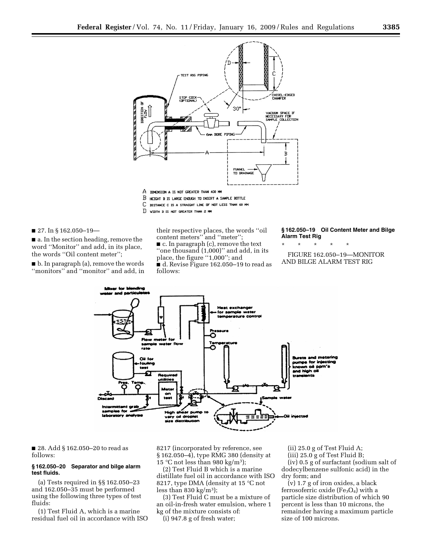

- 
- B HEIGHT B IS LARGE ENDUGH TO INSERT A SAMPLE BOTTLE  $\mathbb{C}$ DISTANCE C IS A STRAIGHT LINE OF NOT LESS THAN 60 MM
- 
- D VIDTH D IS NOT GREATER THAN 2 MM

 $\blacksquare$  27. In § 162.050-19-

■ a. In the section heading, remove the word ''Monitor'' and add, in its place, the words ''Oil content meter'';

■ b. In paragraph (a), remove the words ''monitors'' and ''monitor'' and add, in

their respective places, the words ''oil content meters'' and ''meter''; ■ c. In paragraph (c), remove the text ''one thousand (1,000)'' and add, in its place, the figure ''1,000''; and ■ d. Revise Figure 162.050–19 to read as follows:

#### **§ 162.050–19 Oil Content Meter and Bilge Alarm Test Rig**

\* \* \* \* \*

FIGURE 162.050–19—MONITOR AND BILGE ALARM TEST RIG



■ 28. Add § 162.050–20 to read as follows:

#### **§ 162.050–20 Separator and bilge alarm test fluids.**

(a) Tests required in §§ 162.050–23 and 162.050–35 must be performed using the following three types of test fluids:

(1) Test Fluid A, which is a marine residual fuel oil in accordance with ISO 8217 (incorporated by reference, see § 162.050–4), type RMG 380 (density at 15 °C not less than 980 kg/m<sup>3</sup>);

(2) Test Fluid B which is a marine distillate fuel oil in accordance with ISO 8217, type DMA (density at 15 °C not less than 830 kg/m<sup>3</sup>);

(3) Test Fluid C must be a mixture of an oil-in-fresh water emulsion, where 1 kg of the mixture consists of:

(i) 947.8 g of fresh water;

(ii) 25.0 g of Test Fluid A; (iii) 25.0 g of Test Fluid B; (iv) 0.5 g of surfactant (sodium salt of dodecylbenzene sulfonic acid) in the dry form; and

(v) 1.7 g of iron oxides, a black ferrosoferric oxide (Fe<sub>3</sub>O<sub>4</sub>) with a particle size distribution of which 90 percent is less than 10 microns, the remainder having a maximum particle size of 100 microns.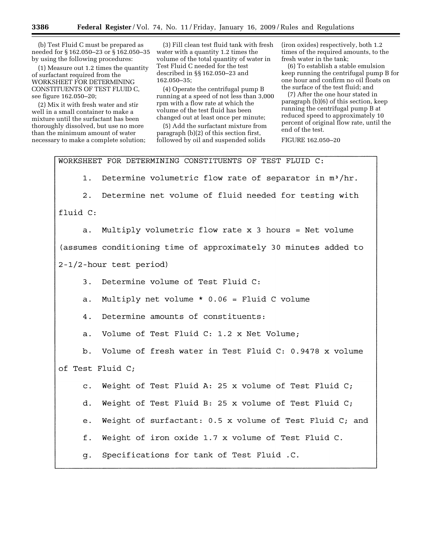(b) Test Fluid C must be prepared as needed for § 162.050–23 or § 162.050–35 by using the following procedures:

(1) Measure out 1.2 times the quantity of surfactant required from the WORKSHEET FOR DETERMINING CONSTITUENTS OF TEST FLUID C, see figure 162.050–20;

(2) Mix it with fresh water and stir well in a small container to make a mixture until the surfactant has been thoroughly dissolved, but use no more than the minimum amount of water necessary to make a complete solution;

(3) Fill clean test fluid tank with fresh water with a quantity 1.2 times the volume of the total quantity of water in Test Fluid C needed for the test described in §§ 162.050–23 and 162.050–35;

(4) Operate the centrifugal pump B running at a speed of not less than 3,000 rpm with a flow rate at which the volume of the test fluid has been changed out at least once per minute;

(5) Add the surfactant mixture from paragraph (b)(2) of this section first, followed by oil and suspended solids

(iron oxides) respectively, both 1.2 times of the required amounts, to the fresh water in the tank;

(6) To establish a stable emulsion keep running the centrifugal pump B for one hour and confirm no oil floats on the surface of the test fluid; and

(7) After the one hour stated in paragraph (b)(6) of this section, keep running the centrifugal pump B at reduced speed to approximately 10 percent of original flow rate, until the end of the test.

FIGURE 162.050–20

WORKSHEET FOR DETERMINING CONSTITUENTS OF TEST FLUID C: Determine volumetric flow rate of separator in m<sup>3</sup>/hr.  $1.$  $2.$ Determine net volume of fluid needed for testing with fluid C: Multiply volumetric flow rate x 3 hours = Net volume  $a.$ (assumes conditioning time of approximately 30 minutes added to 2-1/2-hour test period) Determine volume of Test Fluid C: 3. Multiply net volume  $* 0.06 =$  Fluid C volume  $\overline{a}$ . 4. Determine amounts of constituents: Volume of Test Fluid C: 1.2 x Net Volume;  $a.$ Volume of fresh water in Test Fluid C: 0.9478 x volume b. of Test Fluid C; Weight of Test Fluid A: 25 x volume of Test Fluid  $C_i$  $\overline{c}$ . Weight of Test Fluid B: 25 x volume of Test Fluid  $C_i$ d. Weight of surfactant: 0.5 x volume of Test Fluid C; and  $e$ . f. Weight of iron oxide 1.7 x volume of Test Fluid C. Specifications for tank of Test Fluid .C. q.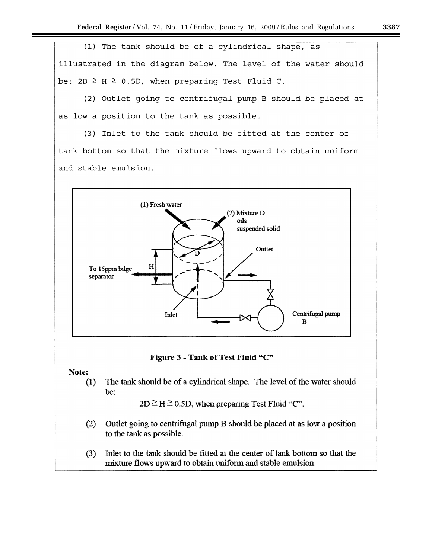(1) The tank should be of a cylindrical shape, as illustrated in the diagram below. The level of the water should be:  $2D \geq H \geq 0.5D$ , when preparing Test Fluid C.

(2) Outlet going to centrifugal pump B should be placed at as low a position to the tank as possible.

(3) Inlet to the tank should be fitted at the center of tank bottom so that the mixture flows upward to obtain uniform and stable emulsion.



Figure 3 - Tank of Test Fluid "C"

Note:

 $(1)$ The tank should be of a cylindrical shape. The level of the water should be:

 $2D \ge H \ge 0.5D$ , when preparing Test Fluid "C".

- $(2)$ Outlet going to centrifugal pump B should be placed at as low a position to the tank as possible.
- Inlet to the tank should be fitted at the center of tank bottom so that the  $(3)$ mixture flows upward to obtain uniform and stable emulsion.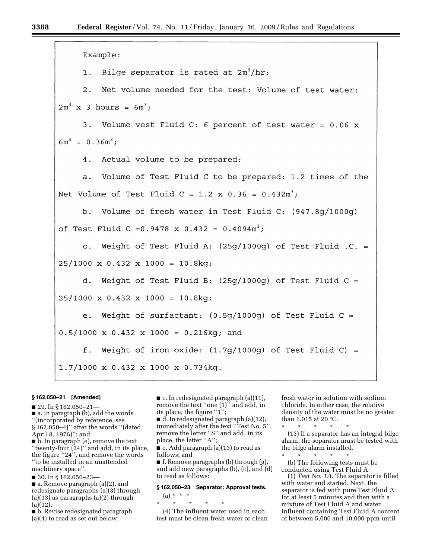| Example:                                                     |
|--------------------------------------------------------------|
| 1. Bilge separator is rated at $2m^3/hr$ ;                   |
| 2. Net volume needed for the test: Volume of test water:     |
| $2m^{3}$ x 3 hours = $6m^{3}$ ;                              |
| 3. Volume vest Fluid C: 6 percent of test water = $0.06$ x   |
| $6m^3 = 0.36m^3;$                                            |
| 4. Actual volume to be prepared:                             |
| a. Volume of Test Fluid C to be prepared: 1.2 times of the   |
| Net Volume of Test Fluid C = 1.2 x 0.36 = $0.432m^3$ ;       |
| b. Volume of fresh water in Test Fluid C: (947.8g/1000g)     |
| of Test Fluid C = 0.9478 x 0.432 = $0.4094m^3$ ;             |
| c. Weight of Test Fluid A: $(25q/1000q)$ of Test Fluid .C. = |
| $25/1000 \times 0.432 \times 1000 = 10.8$ kg;                |
| d. Weight of Test Fluid B: (25g/1000g) of Test Fluid C =     |
| $25/1000 \times 0.432 \times 1000 = 10.8$ kg;                |
| e. Weight of surfactant: $(0.5g/1000g)$ of Test Fluid C =    |
| $0.5/1000 \times 0.432 \times 1000 = 0.216$ kg; and          |
| f. Weight of iron oxide: $(1.7g/1000g)$ of Test Fluid C) =   |
| 1.7/1000 x 0.432 x 1000 x 0.734kg.                           |

#### **§ 162.050–21 [Amended]**

■ 29. In § 162.050-21-

■ a. In paragraph (b), add the words

''(incorporated by reference, see § 162.050–4)'' after the words ''(dated April 8, 1976)''; and

■ b. In paragraph (e), remove the text ''twenty-four (24)'' and add, in its place, the figure ''24'', and remove the words ''to be installed in an unattended machinery space''.

■ 30. In § 162.050-23-

■ a. Remove paragraph (a)(2), and redesignate paragraphs (a)(3) through (a)(13) as paragraphs (a)(2) through  $(a)(12)$ ;

■ b. Revise redesignated paragraph (a)(4) to read as set out below;

■ c. In redesignated paragraph (a)(11), remove the text ''one (1)'' and add, in its place, the figure "1";

■ d. In redesignated paragraph (a)(12), immediately after the text ''Test No. 5'', remove the letter ''S'' and add, in its place, the letter "A";

 $\blacksquare$  e. Add paragraph (a)(13) to read as follows; and

■ f. Remove paragraphs (b) through (g), and add new paragraphs (b), (c), and (d) to read as follows:

## **§ 162.050–23 Separator: Approval tests.**

(a) \* \* \* \* \* \* \* \*

(4) The influent water used in each test must be clean fresh water or clean fresh water in solution with sodium chloride. In either case, the relative density of the water must be no greater than 1.015 at 20 °C.

\* \* \* \* \* (13) If a separator has an integral bilge alarm, the separator must be tested with the bilge alarm installed.

\* \* \* \* \* (b) The following tests must be conducted using Test Fluid A:

(1) *Test No. 1A.* The separator is filled with water and started. Next, the separator is fed with pure Test Fluid A for at least 5 minutes and then with a mixture of Test Fluid A and water influent containing Test Fluid A content of between 5,000 and 10,000 ppm until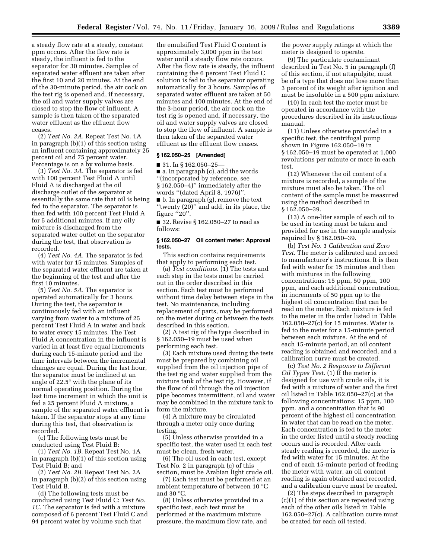a steady flow rate at a steady, constant ppm occurs. After the flow rate is steady, the influent is fed to the separator for 30 minutes. Samples of separated water effluent are taken after the first 10 and 20 minutes. At the end of the 30-minute period, the air cock on the test rig is opened and, if necessary, the oil and water supply valves are closed to stop the flow of influent. A sample is then taken of the separated water effluent as the effluent flow ceases.

(2) *Test No. 2A*. Repeat Test No. 1A in paragraph (b)(1) of this section using an influent containing approximately 25 percent oil and 75 percent water. Percentage is on a by volume basis.

(3) *Test No. 3A*. The separator is fed with 100 percent Test Fluid A until Fluid A is discharged at the oil discharge outlet of the separator at essentially the same rate that oil is being fed to the separator. The separator is then fed with 100 percent Test Fluid A for 5 additional minutes. If any oily mixture is discharged from the separated water outlet on the separator during the test, that observation is recorded.

(4) *Test No. 4A*. The separator is fed with water for 15 minutes. Samples of the separated water effluent are taken at the beginning of the test and after the first 10 minutes.

(5) *Test No. 5A*. The separator is operated automatically for 3 hours. During the test, the separator is continuously fed with an influent varying from water to a mixture of 25 percent Test Fluid A in water and back to water every 15 minutes. The Test Fluid A concentration in the influent is varied in at least five equal increments during each 15-minute period and the time intervals between the incremental changes are equal. During the last hour, the separator must be inclined at an angle of 22.5° with the plane of its normal operating position. During the last time increment in which the unit is fed a 25 percent Fluid A mixture, a sample of the separated water effluent is taken. If the separator stops at any time during this test, that observation is recorded.

(c) The following tests must be conducted using Test Fluid B:

(1) *Test No. 1B.* Repeat Test No. 1A in paragraph (b)(1) of this section using Test Fluid B; and

(2) *Test No. 2B.* Repeat Test No. 2A in paragraph (b)(2) of this section using Test Fluid B.

(d) The following tests must be conducted using Test Fluid C: *Test No. 1C.* The separator is fed with a mixture composed of 6 percent Test Fluid C and 94 percent water by volume such that

the emulsified Test Fluid C content is approximately 3,000 ppm in the test water until a steady flow rate occurs. After the flow rate is steady, the influent containing the 6 percent Test Fluid C solution is fed to the separator operating automatically for 3 hours. Samples of separated water effluent are taken at 50 minutes and 100 minutes. At the end of the 3-hour period, the air cock on the test rig is opened and, if necessary, the oil and water supply valves are closed to stop the flow of influent. A sample is then taken of the separated water effluent as the effluent flow ceases.

## **§ 162.050–25 [Amended]**

■ 31. In § 162.050–25—

■ a. In paragraph (c), add the words ''(incorporated by reference, see § 162.050–4)'' immediately after the words "(dated April 8, 1976)". ■ b. In paragraph (g), remove the text

''twenty (20)'' and add, in its place, the figure "20".

■ 32. Revise § 162.050–27 to read as follows:

#### **§ 162.050–27 Oil content meter: Approval tests.**

This section contains requirements that apply to performing each test.

(a) *Test conditions*. (1) The tests and each step in the tests must be carried out in the order described in this section. Each test must be performed without time delay between steps in the test. No maintenance, including replacement of parts, may be performed on the meter during or between the tests described in this section.

(2) A test rig of the type described in § 162.050–19 must be used when performing each test.

(3) Each mixture used during the tests must be prepared by combining oil supplied from the oil injection pipe of the test rig and water supplied from the mixture tank of the test rig. However, if the flow of oil through the oil injection pipe becomes intermittent, oil and water may be combined in the mixture tank to form the mixture.

(4) A mixture may be circulated through a meter only once during testing.

(5) Unless otherwise provided in a specific test, the water used in each test must be clean, fresh water.

(6) The oil used in each test, except Test No. 2 in paragraph (c) of this section, must be Arabian light crude oil.

(7) Each test must be performed at an ambient temperature of between 10 °C and 30 °C.

(8) Unless otherwise provided in a specific test, each test must be performed at the maximum mixture pressure, the maximum flow rate, and the power supply ratings at which the meter is designed to operate.

(9) The particulate contaminant described in Test No. 5 in paragraph (f) of this section, if not attapulgite, must be of a type that does not lose more than 3 percent of its weight after ignition and must be insoluble in a 500 ppm mixture.

(10) In each test the meter must be operated in accordance with the procedures described in its instructions manual.

(11) Unless otherwise provided in a specific test, the centrifugal pump shown in Figure 162.050–19 in § 162.050–19 must be operated at 1,000 revolutions per minute or more in each test.

(12) Whenever the oil content of a mixture is recorded, a sample of the mixture must also be taken. The oil content of the sample must be measured using the method described in § 162.050–39.

(13) A one-liter sample of each oil to be used in testing must be taken and provided for use in the sample analysis required by § 162.050–39.

(b) *Test No. 1 Calibration and Zero Test*. The meter is calibrated and zeroed to manufacturer's instructions. It is then fed with water for 15 minutes and then with mixtures in the following concentrations: 15 ppm, 50 ppm, 100 ppm, and each additional concentration, in increments of 50 ppm up to the highest oil concentration that can be read on the meter. Each mixture is fed to the meter in the order listed in Table 162.050–27(c) for 15 minutes. Water is fed to the meter for a 15-minute period between each mixture. At the end of each 15-minute period, an oil content reading is obtained and recorded, and a calibration curve must be created.

(c) *Test No. 2 Response to Different Oil Types Test*. (1) If the meter is designed for use with crude oils, it is fed with a mixture of water and the first oil listed in Table 162.050–27(c) at the following concentrations: 15 ppm, 100 ppm, and a concentration that is 90 percent of the highest oil concentration in water that can be read on the meter. Each concentration is fed to the meter in the order listed until a steady reading occurs and is recorded. After each steady reading is recorded, the meter is fed with water for 15 minutes. At the end of each 15-minute period of feeding the meter with water, an oil content reading is again obtained and recorded, and a calibration curve must be created.

(2) The steps described in paragraph (c)(1) of this section are repeated using each of the other oils listed in Table 162.050–27(c). A calibration curve must be created for each oil tested.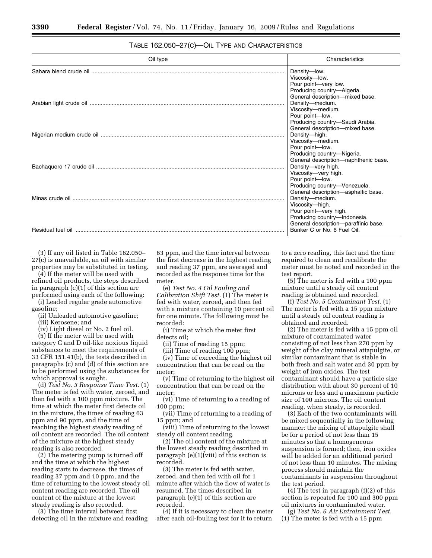## TABLE 162.050–27(C)—OIL TYPE AND CHARACTERISTICS

| Oil type | Characteristics                                                                                                                                                                                                       |
|----------|-----------------------------------------------------------------------------------------------------------------------------------------------------------------------------------------------------------------------|
|          | Density-low.<br>Viscosity-low.<br>Pour point-very low.<br>Producing country-Algeria.<br>General description-mixed base.<br>Density-medium.<br>Viscosity-medium.<br>Pour point-low.<br>Producing country-Saudi Arabia. |
|          | General description-mixed base.<br>Density-high.<br>Viscosity-medium.<br>Pour point-low.<br>Producing country-Nigeria.                                                                                                |
|          | General description-naphthenic base.<br>Density-very high.<br>Viscosity-very high.<br>Pour point-low.<br>Producing country-Venezuela.                                                                                 |
|          | General description-asphaltic base.<br>Density-medium.<br>Viscosity-high.<br>Pour point-very high.<br>Producing country-Indonesia.<br>General description-paraffinic base.                                            |
|          | Bunker C or No. 6 Fuel Oil.                                                                                                                                                                                           |

(3) If any oil listed in Table 162.050– 27(c) is unavailable, an oil with similar properties may be substituted in testing.

(4) If the meter will be used with refined oil products, the steps described in paragraph (c)(1) of this section are performed using each of the following:

(i) Leaded regular grade automotive gasoline;

(ii) Unleaded automotive gasoline;

(iii) Kerosene; and

(iv) Light diesel or No. 2 fuel oil.

(5) If the meter will be used with category C and D oil-like noxious liquid substances to meet the requirements of 33 CFR 151.41(b), the tests described in paragraphs (c) and (d) of this section are to be performed using the substances for which approval is sought.

(d) *Test No. 3 Response Time Test.* (1) The meter is fed with water, zeroed, and then fed with a 100 ppm mixture. The time at which the meter first detects oil in the mixture, the times of reading 63 ppm and 90 ppm, and the time of reaching the highest steady reading of oil content are recorded. The oil content of the mixture at the highest steady reading is also recorded.

(2) The metering pump is turned off and the time at which the highest reading starts to decrease, the times of reading 37 ppm and 10 ppm, and the time of returning to the lowest steady oil content reading are recorded. The oil content of the mixture at the lowest steady reading is also recorded.

(3) The time interval between first detecting oil in the mixture and reading

63 ppm, and the time interval between the first decrease in the highest reading and reading 37 ppm, are averaged and recorded as the response time for the meter.

(e) *Test No. 4 Oil Fouling and Calibration Shift Test.* (1) The meter is fed with water, zeroed, and then fed with a mixture containing 10 percent oil for one minute. The following must be recorded:

(i) Time at which the meter first detects oil;

(ii) Time of reading 15 ppm;

(iii) Time of reading 100 ppm;

(iv) Time of exceeding the highest oil concentration that can be read on the meter;

(v) Time of returning to the highest oil concentration that can be read on the meter;

(vi) Time of returning to a reading of 100 ppm;

(vii) Time of returning to a reading of 15 ppm; and

(viii) Time of returning to the lowest steady oil content reading.

(2) The oil content of the mixture at the lowest steady reading described in paragraph (e)(1)(viii) of this section is recorded.

(3) The meter is fed with water, zeroed, and then fed with oil for 1 minute after which the flow of water is resumed. The times described in paragraph (e)(1) of this section are recorded.

(4) If it is necessary to clean the meter after each oil-fouling test for it to return

to a zero reading, this fact and the time required to clean and recalibrate the meter must be noted and recorded in the test report.

(5) The meter is fed with a 100 ppm mixture until a steady oil content reading is obtained and recorded.

(f) *Test No. 5 Contaminant Test.* (1) The meter is fed with a 15 ppm mixture until a steady oil content reading is obtained and recorded.

(2) The meter is fed with a 15 ppm oil mixture of contaminated water consisting of not less than 270 ppm by weight of the clay mineral attapulgite, or similar contaminant that is stable in both fresh and salt water and 30 ppm by weight of iron oxides. The test contaminant should have a particle size distribution with about 30 percent of 10 microns or less and a maximum particle size of 100 microns. The oil content reading, when steady, is recorded.

(3) Each of the two contaminants will be mixed sequentially in the following manner: the mixing of attapulgite shall be for a period of not less than 15 minutes so that a homogeneous suspension is formed; then, iron oxides will be added for an additional period of not less than 10 minutes. The mixing process should maintain the contaminants in suspension throughout the test period.

(4) The test in paragraph (f)(2) of this section is repeated for 100 and 300 ppm oil mixtures in contaminated water.

(g) *Test No. 6 Air Entrainment Test.*  (1) The meter is fed with a 15 ppm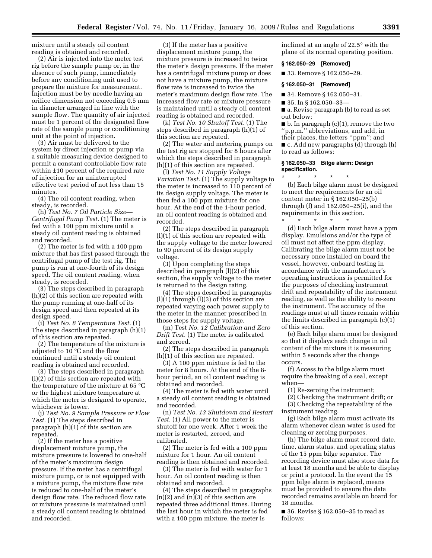mixture until a steady oil content reading is obtained and recorded.

(2) Air is injected into the meter test rig before the sample pump or, in the absence of such pump, immediately before any conditioning unit used to prepare the mixture for measurement. Injection must be by needle having an orifice dimension not exceeding 0.5 mm in diameter arranged in line with the sample flow. The quantity of air injected must be 1 percent of the designated flow rate of the sample pump or conditioning unit at the point of injection.

(3) Air must be delivered to the system by direct injection or pump via a suitable measuring device designed to permit a constant controllable flow rate within ±10 percent of the required rate of injection for an uninterrupted effective test period of not less than 15 minutes.

(4) The oil content reading, when steady, is recorded.

(h) *Test No. 7 Oil Particle Size— Centrifugal Pump Test.* (1) The meter is fed with a 100 ppm mixture until a steady oil content reading is obtained and recorded.

(2) The meter is fed with a 100 ppm mixture that has first passed through the centrifugal pump of the test rig. The pump is run at one-fourth of its design speed. The oil content reading, when steady, is recorded.

(3) The steps described in paragraph (h)(2) of this section are repeated with the pump running at one-half of its design speed and then repeated at its design speed.

(i) *Test No. 8 Temperature Test.* (1) The steps described in paragraph (h)(1) of this section are repeated.

(2) The temperature of the mixture is adjusted to 10 °C and the flow continued until a steady oil content reading is obtained and recorded.

(3) The steps described in paragraph (i)(2) of this section are repeated with the temperature of the mixture at 65 °C or the highest mixture temperature at which the meter is designed to operate, whichever is lower.

(j) *Test No. 9 Sample Pressure or Flow Test.* (1) The steps described in paragraph (h)(1) of this section are repeated.

(2) If the meter has a positive displacement mixture pump, the mixture pressure is lowered to one-half of the meter's maximum design pressure. If the meter has a centrifugal mixture pump, or is not equipped with a mixture pump, the mixture flow rate is reduced to one-half of the meter's design flow rate. The reduced flow rate or mixture pressure is maintained until a steady oil content reading is obtained and recorded.

(3) If the meter has a positive displacement mixture pump, the mixture pressure is increased to twice the meter's design pressure. If the meter has a centrifugal mixture pump or does not have a mixture pump, the mixture flow rate is increased to twice the meter's maximum design flow rate. The increased flow rate or mixture pressure is maintained until a steady oil content reading is obtained and recorded.

(k) *Test No. 10 Shutoff Test.* (1) The steps described in paragraph (h)(1) of this section are repeated.

(2) The water and metering pumps on the test rig are stopped for 8 hours after which the steps described in paragraph (h)(1) of this section are repeated.

(l) *Test No. 11 Supply Voltage Variation Test.* (1) The supply voltage to the meter is increased to 110 percent of its design supply voltage. The meter is then fed a 100 ppm mixture for one hour. At the end of the 1-hour period, an oil content reading is obtained and recorded.

(2) The steps described in paragraph (l)(1) of this section are repeated with the supply voltage to the meter lowered to 90 percent of its design supply voltage.

(3) Upon completing the steps described in paragraph (l)(2) of this section, the supply voltage to the meter is returned to the design rating.

(4) The steps described in paragraphs  $(l)(1)$  through  $(l)(3)$  of this section are repeated varying each power supply to the meter in the manner prescribed in those steps for supply voltage.

(m) Test *No. 12 Calibration and Zero Drift Test.* (1) The meter is calibrated and zeroed.

(2) The steps described in paragraph (h)(1) of this section are repeated.

(3) A 100 ppm mixture is fed to the meter for 8 hours. At the end of the 8 hour period, an oil content reading is obtained and recorded.

(4) The meter is fed with water until a steady oil content reading is obtained and recorded.

(n) *Test No. 13 Shutdown and Restart Test.* (1) All power to the meter is shutoff for one week. After 1 week the meter is restarted, zeroed, and calibrated.

(2) The meter is fed with a 100 ppm mixture for 1 hour. An oil content reading is then obtained and recorded.

(3) The meter is fed with water for 1 hour. An oil content reading is then obtained and recorded.

(4) The steps described in paragraphs  $(n)(2)$  and  $(n)(3)$  of this section are repeated three additional times. During the last hour in which the meter is fed with a 100 ppm mixture, the meter is

inclined at an angle of 22.5° with the plane of its normal operating position.

#### **§ 162.050–29 [Removed]**

■ 33. Remove § 162.050–29.

#### **§ 162.050–31 [Removed]**

■ 34. Remove § 162.050–31.

■ 35. In § 162.050–33–

■ a. Revise paragraph (b) to read as set out below;

 $\blacksquare$  b. In paragraph (c)(1), remove the two ''p.p.m.'' abbreviations, and add, in their places, the letters ''ppm''; and ■ c. Add new paragraphs (d) through (h) to read as follows:

#### **§ 162.050–33 Bilge alarm: Design specification.**

\* \* \* \* \* (b) Each bilge alarm must be designed to meet the requirements for an oil content meter in § 162.050–25(b) through (f) and 162.050–25(i), and the requirements in this section.

\* \* \* \* \* (d) Each bilge alarm must have a ppm display. Emulsions and/or the type of oil must not affect the ppm display. Calibrating the bilge alarm must not be necessary once installed on board the vessel, however, onboard testing in accordance with the manufacturer's operating instructions is permitted for the purposes of checking instrument drift and repeatability of the instrument reading, as well as the ability to re-zero the instrument. The accuracy of the readings must at all times remain within the limits described in paragraph (c)(1) of this section.

(e) Each bilge alarm must be designed so that it displays each change in oil content of the mixture it is measuring within 5 seconds after the change occurs.

(f) Access to the bilge alarm must require the breaking of a seal, except when—

(1) Re-zeroing the instrument;

(2) Checking the instrument drift; or

(3) Checking the repeatability of the instrument reading.

(g) Each bilge alarm must activate its alarm whenever clean water is used for cleaning or zeroing purposes.

(h) The bilge alarm must record date, time, alarm status, and operating status of the 15 ppm bilge separator. The recording device must also store data for at least 18 months and be able to display or print a protocol. In the event the 15 ppm bilge alarm is replaced, means must be provided to ensure the data recorded remains available on board for 18 months.

■ 36. Revise § 162.050–35 to read as follows: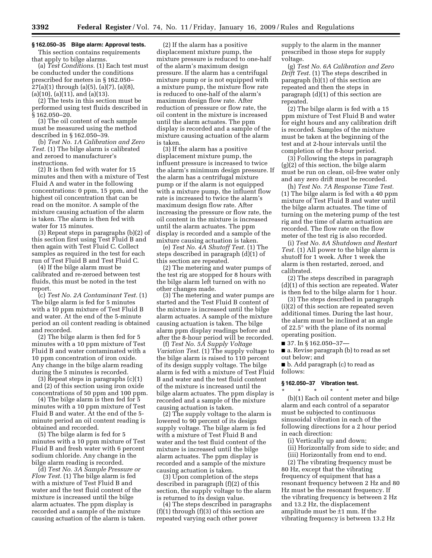## **§ 162.050–35 Bilge alarm: Approval tests.**

This section contains requirements that apply to bilge alarms.

(a) *Test Conditions.* (1) Each test must be conducted under the conditions prescribed for meters in § 162.050–  $27(a)(1)$  through  $(a)(5)$ ,  $(a)(7)$ ,  $(a)(8)$ , (a)(10), (a)(11), and (a)(13).

(2) The tests in this section must be performed using test fluids described in § 162.050–20.

(3) The oil content of each sample must be measured using the method described in § 162.050–39.

(b) *Test No. 1A Calibration and Zero Test.* (1) The bilge alarm is calibrated and zeroed to manufacturer's instructions.

(2) It is then fed with water for 15 minutes and then with a mixture of Test Fluid A and water in the following concentrations: 0 ppm, 15 ppm, and the highest oil concentration that can be read on the monitor. A sample of the mixture causing actuation of the alarm is taken. The alarm is then fed with water for 15 minutes.

(3) Repeat steps in paragraphs (b)(2) of this section first using Test Fluid B and then again with Test Fluid C. Collect samples as required in the test for each run of Test Fluid B and Test Fluid C.

(4) If the bilge alarm must be calibrated and re-zeroed between test fluids, this must be noted in the test report.

(c) *Test No. 2A Contaminant Test.* (1) The bilge alarm is fed for 5 minutes with a 10 ppm mixture of Test Fluid B and water. At the end of the 5-minute period an oil content reading is obtained and recorded.

(2) The bilge alarm is then fed for 5 minutes with a 10 ppm mixture of Test Fluid B and water contaminated with a 10 ppm concentration of iron oxide. Any change in the bilge alarm reading during the 5 minutes is recorded.

(3) Repeat steps in paragraphs (c)(1) and (2) of this section using iron oxide concentrations of 50 ppm and 100 ppm.

(4) The bilge alarm is then fed for 5 minutes with a 10 ppm mixture of Test Fluid B and water. At the end of the 5 minute period an oil content reading is obtained and recorded.

(5) The bilge alarm is fed for 5 minutes with a 10 ppm mixture of Test Fluid B and fresh water with 6 percent sodium chloride. Any change in the bilge alarm reading is recorded.

(d) *Test No. 3A Sample Pressure or Flow Test.* (1) The bilge alarm is fed with a mixture of Test Fluid B and water and the test fluid content of the mixture is increased until the bilge alarm actuates. The ppm display is recorded and a sample of the mixture causing actuation of the alarm is taken.

(2) If the alarm has a positive displacement mixture pump, the mixture pressure is reduced to one-half of the alarm's maximum design pressure. If the alarm has a centrifugal mixture pump or is not equipped with a mixture pump, the mixture flow rate is reduced to one-half of the alarm's maximum design flow rate. After reduction of pressure or flow rate, the oil content in the mixture is increased until the alarm actuates. The ppm display is recorded and a sample of the mixture causing actuation of the alarm is taken.

(3) If the alarm has a positive displacement mixture pump, the influent pressure is increased to twice the alarm's minimum design pressure. If the alarm has a centrifugal mixture pump or if the alarm is not equipped with a mixture pump, the influent flow rate is increased to twice the alarm's maximum design flow rate. After increasing the pressure or flow rate, the oil content in the mixture is increased until the alarm actuates. The ppm display is recorded and a sample of the mixture causing actuation is taken.

(e) *Test No. 4A Shutoff Test.* (1) The steps described in paragraph (d)(1) of this section are repeated.

(2) The metering and water pumps of the test rig are stopped for 8 hours with the bilge alarm left turned on with no other changes made.

(3) The metering and water pumps are started and the Test Fluid B content of the mixture is increased until the bilge alarm actuates. A sample of the mixture causing actuation is taken. The bilge alarm ppm display readings before and after the 8-hour period will be recorded.

(f) *Test No. 5A Supply Voltage Variation Test.* (1) The supply voltage to the bilge alarm is raised to 110 percent of its design supply voltage. The bilge alarm is fed with a mixture of Test Fluid B and water and the test fluid content of the mixture is increased until the bilge alarm actuates. The ppm display is recorded and a sample of the mixture causing actuation is taken.

(2) The supply voltage to the alarm is lowered to 90 percent of its design supply voltage. The bilge alarm is fed with a mixture of Test Fluid B and water and the test fluid content of the mixture is increased until the bilge alarm actuates. The ppm display is recorded and a sample of the mixture causing actuation is taken.

(3) Upon completion of the steps described in paragraph (f)(2) of this section, the supply voltage to the alarm is returned to its design value.

(4) The steps described in paragraphs  $(f)(1)$  through  $(f)(3)$  of this section are repeated varying each other power

supply to the alarm in the manner prescribed in those steps for supply voltage.

(g) *Test No. 6A Calibration and Zero Drift Test.* (1) The steps described in paragraph (b)(1) of this section are repeated and then the steps in paragraph (d)(1) of this section are repeated.

(2) The bilge alarm is fed with a 15 ppm mixture of Test Fluid B and water for eight hours and any calibration drift is recorded. Samples of the mixture must be taken at the beginning of the test and at 2-hour intervals until the completion of the 8-hour period.

(3) Following the steps in paragraph (g)(2) of this section, the bilge alarm must be run on clean, oil-free water only and any zero drift must be recorded.

(h) *Test No. 7A Response Time Test.*  (1) The bilge alarm is fed with a 40 ppm mixture of Test Fluid B and water until the bilge alarm actuates. The time of turning on the metering pump of the test rig and the time of alarm actuation are recorded. The flow rate on the flow meter of the test rig is also recorded.

(i) *Test No. 8A Shutdown and Restart Test.* (1) All power to the bilge alarm is shutoff for 1 week. After 1 week the alarm is then restarted, zeroed, and calibrated.

(2) The steps described in paragraph (d)(1) of this section are repeated. Water is then fed to the bilge alarm for 1 hour.

(3) The steps described in paragraph (i)(2) of this section are repeated seven additional times. During the last hour, the alarm must be inclined at an angle of 22.5° with the plane of its normal operating position.

■ 37. In § 162.050–37—

■ a. Revise paragraph (b) to read as set out below; and

■ b. Add paragraph (c) to read as follows:

#### **§ 162.050–37 Vibration test.**  \* \* \* \* \*

(b)(1) Each oil content meter and bilge alarm and each control of a separator must be subjected to continuous sinusoidal vibration in each of the following directions for a 2 hour period in each direction:

(i) Vertically up and down;

(ii) Horizontally from side to side; and

(iii) Horizontally from end to end.

(2) The vibrating frequency must be 80 Hz, except that the vibrating frequency of equipment that has a resonant frequency between 2 Hz and 80 Hz must be the resonant frequency. If the vibrating frequency is between 2 Hz and 13.2 Hz, the displacement amplitude must be ±1 mm. If the vibrating frequency is between 13.2 Hz